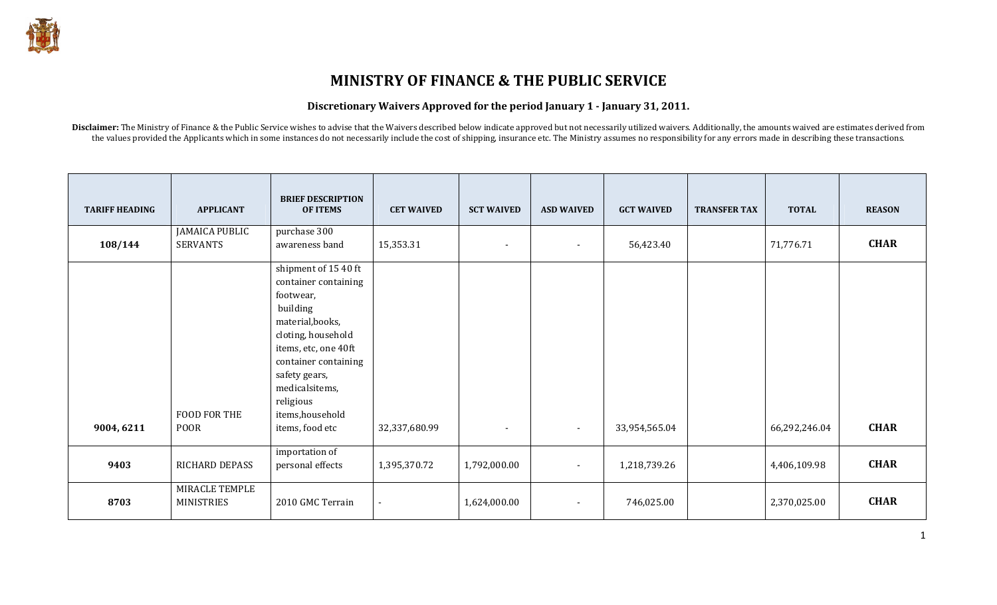## MINISTRY OF FINANCE & THE PUBLIC SERVICE

#### Discretionary Waivers Approved for the period January 1 - January 31, 2011.

Disclaimer: The Ministry of Finance & the Public Service wishes to advise that the Waivers described below indicate approved but not necessarily utilized waivers. Additionally, the amounts waived are estimates derived from the values provided the Applicants which in some instances do not necessarily include the cost of shipping, insurance etc. The Ministry assumes no responsibility for any errors made in describing these transactions.

| <b>TARIFF HEADING</b> | <b>APPLICANT</b>                    | <b>BRIEF DESCRIPTION</b><br><b>OF ITEMS</b>                                                                                                                                                                                                            | <b>CET WAIVED</b> | <b>SCT WAIVED</b>        | <b>ASD WAIVED</b>        | <b>GCT WAIVED</b> | <b>TRANSFER TAX</b> | <b>TOTAL</b>  | <b>REASON</b> |
|-----------------------|-------------------------------------|--------------------------------------------------------------------------------------------------------------------------------------------------------------------------------------------------------------------------------------------------------|-------------------|--------------------------|--------------------------|-------------------|---------------------|---------------|---------------|
| 108/144               | <b>JAMAICA PUBLIC</b><br>SERVANTS   | purchase 300<br>awareness band                                                                                                                                                                                                                         | 15,353.31         | $\overline{\phantom{a}}$ | $\overline{\phantom{a}}$ | 56,423.40         |                     | 71,776.71     | <b>CHAR</b>   |
| 9004, 6211            | FOOD FOR THE<br><b>POOR</b>         | shipment of 15 40 ft<br>container containing<br>footwear,<br>building<br>material, books,<br>cloting, household<br>items, etc, one 40ft<br>container containing<br>safety gears,<br>medicalsitems,<br>religious<br>items, household<br>items, food etc | 32,337,680.99     | $\blacksquare$           | $\overline{\phantom{a}}$ | 33,954,565.04     |                     | 66,292,246.04 | <b>CHAR</b>   |
| 9403                  | <b>RICHARD DEPASS</b>               | importation of<br>personal effects                                                                                                                                                                                                                     | 1,395,370.72      | 1,792,000.00             | $\overline{\phantom{a}}$ | 1,218,739.26      |                     | 4,406,109.98  | <b>CHAR</b>   |
| 8703                  | MIRACLE TEMPLE<br><b>MINISTRIES</b> | 2010 GMC Terrain                                                                                                                                                                                                                                       |                   | 1,624,000.00             | $\overline{\phantom{a}}$ | 746,025.00        |                     | 2,370,025.00  | <b>CHAR</b>   |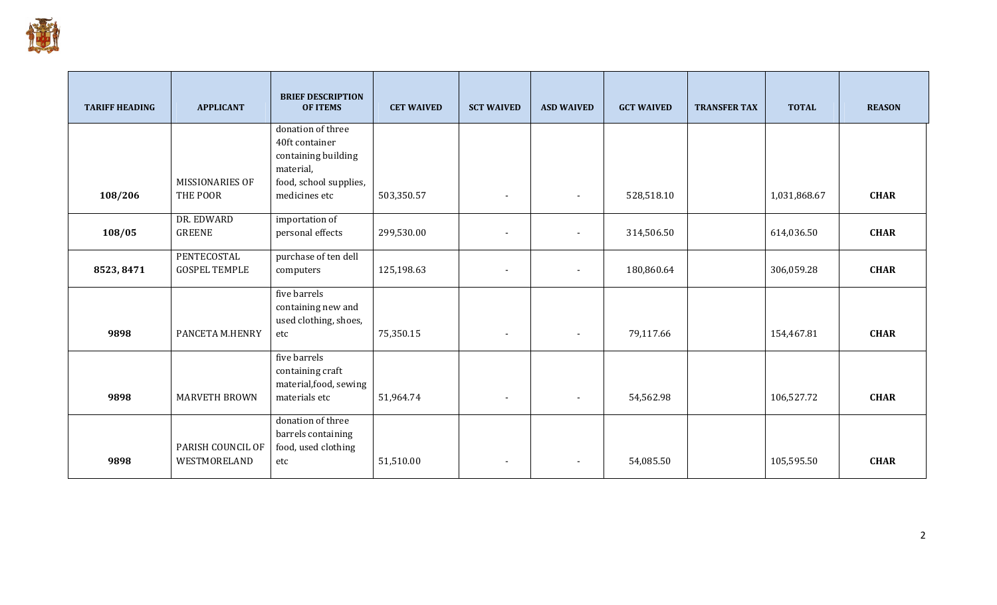

| <b>TARIFF HEADING</b> | <b>APPLICANT</b>       | <b>BRIEF DESCRIPTION</b><br><b>OF ITEMS</b> | <b>CET WAIVED</b> | <b>SCT WAIVED</b>        | <b>ASD WAIVED</b>        | <b>GCT WAIVED</b> | <b>TRANSFER TAX</b> | <b>TOTAL</b> | <b>REASON</b> |
|-----------------------|------------------------|---------------------------------------------|-------------------|--------------------------|--------------------------|-------------------|---------------------|--------------|---------------|
|                       |                        | donation of three<br>40ft container         |                   |                          |                          |                   |                     |              |               |
|                       |                        | containing building<br>material,            |                   |                          |                          |                   |                     |              |               |
|                       | <b>MISSIONARIES OF</b> | food, school supplies,                      |                   |                          |                          |                   |                     |              |               |
| 108/206               | THE POOR               | medicines etc                               | 503,350.57        | $\blacksquare$           | $\blacksquare$           | 528,518.10        |                     | 1,031,868.67 | <b>CHAR</b>   |
|                       | DR. EDWARD             | importation of                              |                   |                          |                          |                   |                     |              |               |
| 108/05                | <b>GREENE</b>          | personal effects                            | 299,530.00        | $\overline{\phantom{a}}$ |                          | 314,506.50        |                     | 614,036.50   | <b>CHAR</b>   |
|                       | PENTECOSTAL            | purchase of ten dell                        |                   |                          |                          |                   |                     |              |               |
| 8523, 8471            | <b>GOSPEL TEMPLE</b>   | computers                                   | 125,198.63        | $\overline{\phantom{a}}$ | $\blacksquare$           | 180,860.64        |                     | 306,059.28   | <b>CHAR</b>   |
|                       |                        | five barrels                                |                   |                          |                          |                   |                     |              |               |
|                       |                        | containing new and<br>used clothing, shoes, |                   |                          |                          |                   |                     |              |               |
| 9898                  | PANCETA M.HENRY        | etc                                         | 75,350.15         | $\overline{\phantom{a}}$ | $\overline{\phantom{a}}$ | 79,117.66         |                     | 154,467.81   | <b>CHAR</b>   |
|                       |                        | five barrels<br>containing craft            |                   |                          |                          |                   |                     |              |               |
|                       |                        | material, food, sewing                      |                   |                          |                          |                   |                     |              |               |
| 9898                  | <b>MARVETH BROWN</b>   | materials etc                               | 51,964.74         | $\overline{\phantom{a}}$ | $\overline{\phantom{a}}$ | 54,562.98         |                     | 106,527.72   | <b>CHAR</b>   |
|                       |                        | donation of three                           |                   |                          |                          |                   |                     |              |               |
|                       | PARISH COUNCIL OF      | barrels containing<br>food, used clothing   |                   |                          |                          |                   |                     |              |               |
| 9898                  | WESTMORELAND           | etc                                         | 51,510.00         | $\overline{\phantom{a}}$ | $\blacksquare$           | 54,085.50         |                     | 105,595.50   | <b>CHAR</b>   |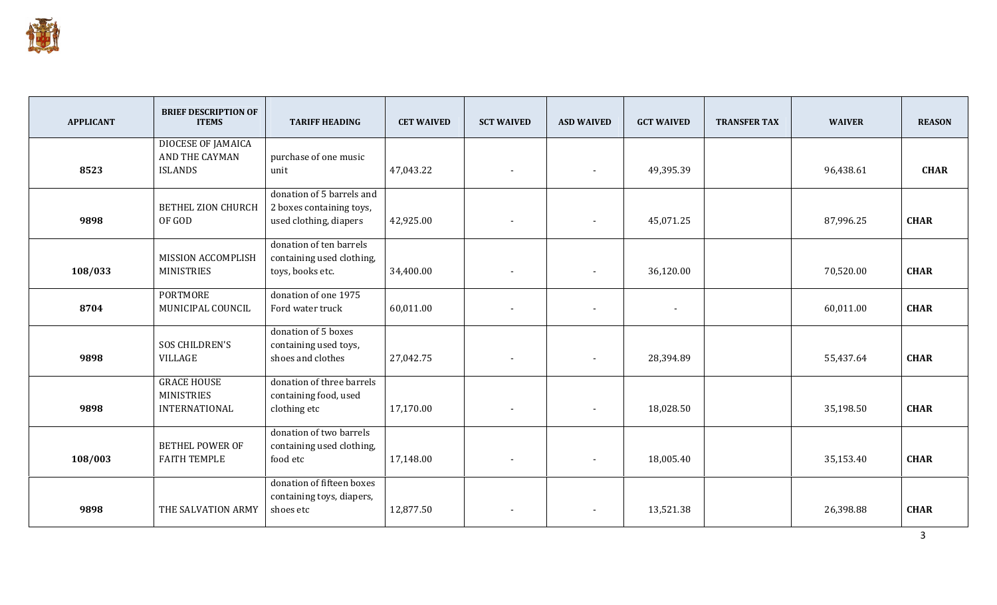

| <b>APPLICANT</b> | <b>BRIEF DESCRIPTION OF</b><br><b>ITEMS</b> | <b>TARIFF HEADING</b>         | <b>CET WAIVED</b> | <b>SCT WAIVED</b>        | <b>ASD WAIVED</b>        | <b>GCT WAIVED</b> | <b>TRANSFER TAX</b> | <b>WAIVER</b> | <b>REASON</b> |
|------------------|---------------------------------------------|-------------------------------|-------------------|--------------------------|--------------------------|-------------------|---------------------|---------------|---------------|
|                  | <b>DIOCESE OF JAMAICA</b>                   |                               |                   |                          |                          |                   |                     |               |               |
| 8523             | AND THE CAYMAN<br><b>ISLANDS</b>            | purchase of one music<br>unit | 47,043.22         |                          |                          | 49,395.39         |                     | 96,438.61     | <b>CHAR</b>   |
|                  |                                             |                               |                   | $\overline{\phantom{a}}$ | $\overline{\phantom{a}}$ |                   |                     |               |               |
|                  |                                             | donation of 5 barrels and     |                   |                          |                          |                   |                     |               |               |
|                  | <b>BETHEL ZION CHURCH</b>                   | 2 boxes containing toys,      |                   |                          |                          |                   |                     |               |               |
| 9898             | OF GOD                                      | used clothing, diapers        | 42,925.00         | $\overline{\phantom{a}}$ | $\blacksquare$           | 45,071.25         |                     | 87,996.25     | <b>CHAR</b>   |
|                  |                                             | donation of ten barrels       |                   |                          |                          |                   |                     |               |               |
|                  | MISSION ACCOMPLISH                          | containing used clothing,     |                   |                          |                          |                   |                     |               |               |
| 108/033          | <b>MINISTRIES</b>                           | toys, books etc.              | 34,400.00         | $\overline{\phantom{a}}$ | $\blacksquare$           | 36,120.00         |                     | 70,520.00     | <b>CHAR</b>   |
|                  | <b>PORTMORE</b>                             | donation of one 1975          |                   |                          |                          |                   |                     |               |               |
| 8704             | MUNICIPAL COUNCIL                           | Ford water truck              | 60,011.00         | $\overline{\phantom{a}}$ | $\blacksquare$           | $\sim$            |                     | 60,011.00     | <b>CHAR</b>   |
|                  |                                             | donation of 5 boxes           |                   |                          |                          |                   |                     |               |               |
|                  | <b>SOS CHILDREN'S</b>                       | containing used toys,         |                   |                          |                          |                   |                     |               |               |
| 9898             | VILLAGE                                     | shoes and clothes             | 27,042.75         | $\overline{\phantom{a}}$ | $\blacksquare$           | 28,394.89         |                     | 55,437.64     | <b>CHAR</b>   |
|                  | <b>GRACE HOUSE</b>                          | donation of three barrels     |                   |                          |                          |                   |                     |               |               |
|                  | <b>MINISTRIES</b>                           | containing food, used         |                   |                          |                          |                   |                     |               |               |
| 9898             | INTERNATIONAL                               | clothing etc                  | 17,170.00         | $\overline{\phantom{a}}$ | $\blacksquare$           | 18,028.50         |                     | 35,198.50     | <b>CHAR</b>   |
|                  |                                             | donation of two barrels       |                   |                          |                          |                   |                     |               |               |
|                  | <b>BETHEL POWER OF</b>                      | containing used clothing,     |                   |                          |                          |                   |                     |               |               |
| 108/003          | <b>FAITH TEMPLE</b>                         | food etc                      | 17,148.00         | $\overline{\phantom{a}}$ | $\blacksquare$           | 18,005.40         |                     | 35,153.40     | <b>CHAR</b>   |
|                  |                                             | donation of fifteen boxes     |                   |                          |                          |                   |                     |               |               |
|                  |                                             | containing toys, diapers,     |                   |                          |                          |                   |                     |               |               |
| 9898             | THE SALVATION ARMY                          | shoes etc                     | 12,877.50         | $\overline{\phantom{a}}$ | $\overline{\phantom{a}}$ | 13,521.38         |                     | 26,398.88     | <b>CHAR</b>   |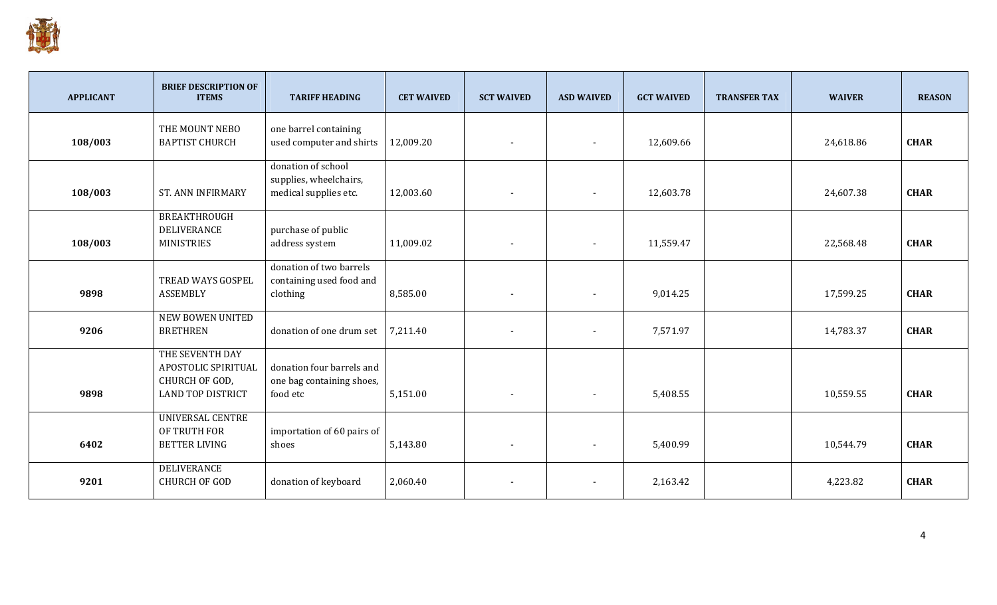

| <b>APPLICANT</b> | <b>BRIEF DESCRIPTION OF</b><br><b>ITEMS</b>                                   | <b>TARIFF HEADING</b>                                                 | <b>CET WAIVED</b> | <b>SCT WAIVED</b>        | <b>ASD WAIVED</b> | <b>GCT WAIVED</b> | <b>TRANSFER TAX</b> | <b>WAIVER</b> | <b>REASON</b> |
|------------------|-------------------------------------------------------------------------------|-----------------------------------------------------------------------|-------------------|--------------------------|-------------------|-------------------|---------------------|---------------|---------------|
| 108/003          | THE MOUNT NEBO<br><b>BAPTIST CHURCH</b>                                       | one barrel containing<br>used computer and shirts                     | 12,009.20         |                          | $\blacksquare$    | 12,609.66         |                     | 24,618.86     | <b>CHAR</b>   |
| 108/003          | <b>ST. ANN INFIRMARY</b>                                                      | donation of school<br>supplies, wheelchairs,<br>medical supplies etc. | 12,003.60         | $\overline{\phantom{a}}$ |                   | 12,603.78         |                     | 24,607.38     | <b>CHAR</b>   |
| 108/003          | <b>BREAKTHROUGH</b><br>DELIVERANCE<br><b>MINISTRIES</b>                       | purchase of public<br>address system                                  | 11,009.02         | $\overline{\phantom{a}}$ | $\blacksquare$    | 11,559.47         |                     | 22,568.48     | <b>CHAR</b>   |
| 9898             | TREAD WAYS GOSPEL<br><b>ASSEMBLY</b>                                          | donation of two barrels<br>containing used food and<br>clothing       | 8,585.00          | $\overline{\phantom{a}}$ | $\blacksquare$    | 9,014.25          |                     | 17,599.25     | <b>CHAR</b>   |
| 9206             | <b>NEW BOWEN UNITED</b><br><b>BRETHREN</b>                                    | donation of one drum set                                              | 7,211.40          | $\overline{\phantom{a}}$ | $\blacksquare$    | 7,571.97          |                     | 14,783.37     | <b>CHAR</b>   |
| 9898             | THE SEVENTH DAY<br>APOSTOLIC SPIRITUAL<br>CHURCH OF GOD,<br>LAND TOP DISTRICT | donation four barrels and<br>one bag containing shoes,<br>food etc    | 5,151.00          | $\blacksquare$           |                   | 5,408.55          |                     | 10,559.55     | <b>CHAR</b>   |
| 6402             | <b>UNIVERSAL CENTRE</b><br>OF TRUTH FOR<br><b>BETTER LIVING</b>               | importation of 60 pairs of<br>shoes                                   | 5,143.80          | $\overline{\phantom{a}}$ | $\blacksquare$    | 5,400.99          |                     | 10,544.79     | <b>CHAR</b>   |
| 9201             | <b>DELIVERANCE</b><br><b>CHURCH OF GOD</b>                                    | donation of keyboard                                                  | 2,060.40          | $\blacksquare$           | $\blacksquare$    | 2,163.42          |                     | 4,223.82      | <b>CHAR</b>   |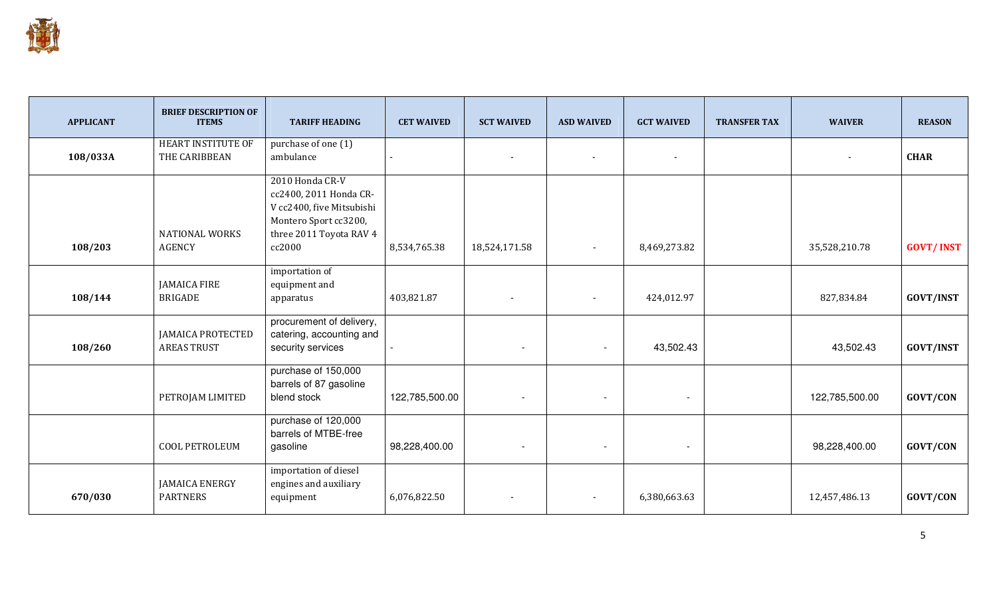

| <b>APPLICANT</b> | <b>BRIEF DESCRIPTION OF</b><br><b>ITEMS</b>    | <b>TARIFF HEADING</b>                                                                                                                | <b>CET WAIVED</b> | <b>SCT WAIVED</b>        | <b>ASD WAIVED</b>        | <b>GCT WAIVED</b>        | <b>TRANSFER TAX</b> | <b>WAIVER</b>  | <b>REASON</b>    |
|------------------|------------------------------------------------|--------------------------------------------------------------------------------------------------------------------------------------|-------------------|--------------------------|--------------------------|--------------------------|---------------------|----------------|------------------|
| 108/033A         | HEART INSTITUTE OF<br>THE CARIBBEAN            | purchase of one (1)<br>ambulance                                                                                                     |                   |                          |                          | $\overline{\phantom{a}}$ |                     |                | <b>CHAR</b>      |
| 108/203          | <b>NATIONAL WORKS</b><br><b>AGENCY</b>         | 2010 Honda CR-V<br>cc2400, 2011 Honda CR-<br>V cc2400, five Mitsubishi<br>Montero Sport cc3200,<br>three 2011 Toyota RAV 4<br>cc2000 | 8,534,765.38      | 18,524,171.58            | $\overline{\phantom{a}}$ | 8,469,273.82             |                     | 35,528,210.78  | <b>GOVT/INST</b> |
| 108/144          | <b>JAMAICA FIRE</b><br><b>BRIGADE</b>          | importation of<br>equipment and<br>apparatus                                                                                         | 403,821.87        | $\overline{\phantom{a}}$ | $\blacksquare$           | 424,012.97               |                     | 827,834.84     | <b>GOVT/INST</b> |
| 108/260          | <b>JAMAICA PROTECTED</b><br><b>AREAS TRUST</b> | procurement of delivery,<br>catering, accounting and<br>security services                                                            |                   | $\overline{\phantom{a}}$ | $\overline{\phantom{0}}$ | 43,502.43                |                     | 43,502.43      | <b>GOVT/INST</b> |
|                  | PETROJAM LIMITED                               | purchase of 150,000<br>barrels of 87 gasoline<br>blend stock                                                                         | 122,785,500.00    | $\overline{\phantom{a}}$ | $\overline{\phantom{a}}$ | $\overline{\phantom{a}}$ |                     | 122,785,500.00 | GOVT/CON         |
|                  | COOL PETROLEUM                                 | purchase of 120,000<br>barrels of MTBE-free<br>gasoline                                                                              | 98,228,400.00     | $\overline{\phantom{a}}$ |                          | $\overline{\phantom{a}}$ |                     | 98,228,400.00  | GOVT/CON         |
| 670/030          | <b>JAMAICA ENERGY</b><br><b>PARTNERS</b>       | importation of diesel<br>engines and auxiliary<br>equipment                                                                          | 6,076,822.50      |                          |                          | 6,380,663.63             |                     | 12,457,486.13  | GOVT/CON         |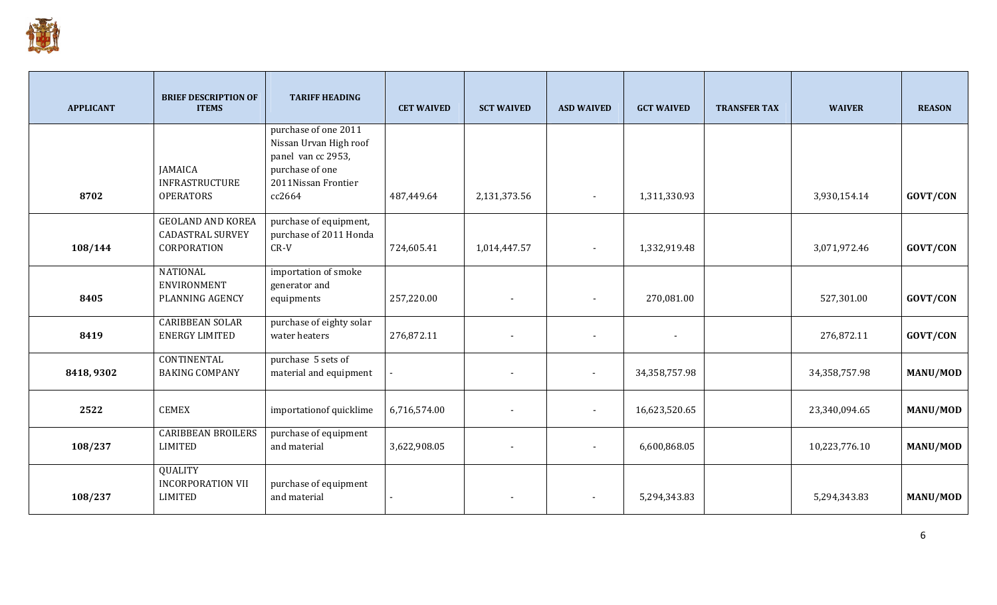

| <b>APPLICANT</b> | <b>BRIEF DESCRIPTION OF</b><br><b>ITEMS</b>                        | <b>TARIFF HEADING</b>                                                                                                    | <b>CET WAIVED</b> | <b>SCT WAIVED</b>        | <b>ASD WAIVED</b>        | <b>GCT WAIVED</b> | <b>TRANSFER TAX</b> | <b>WAIVER</b> | <b>REASON</b>   |
|------------------|--------------------------------------------------------------------|--------------------------------------------------------------------------------------------------------------------------|-------------------|--------------------------|--------------------------|-------------------|---------------------|---------------|-----------------|
| 8702             | <b>JAMAICA</b><br><b>INFRASTRUCTURE</b><br><b>OPERATORS</b>        | purchase of one 2011<br>Nissan Urvan High roof<br>panel van cc 2953,<br>purchase of one<br>2011Nissan Frontier<br>cc2664 | 487,449.64        | 2,131,373.56             |                          | 1,311,330.93      |                     | 3,930,154.14  | GOVT/CON        |
| 108/144          | <b>GEOLAND AND KOREA</b><br><b>CADASTRAL SURVEY</b><br>CORPORATION | purchase of equipment,<br>purchase of 2011 Honda<br>$CR-V$                                                               | 724,605.41        | 1,014,447.57             | $\overline{\phantom{a}}$ | 1,332,919.48      |                     | 3,071,972.46  | GOVT/CON        |
| 8405             | <b>NATIONAL</b><br>ENVIRONMENT<br>PLANNING AGENCY                  | importation of smoke<br>generator and<br>equipments                                                                      | 257,220.00        | $\overline{\phantom{a}}$ |                          | 270,081.00        |                     | 527,301.00    | GOVT/CON        |
| 8419             | <b>CARIBBEAN SOLAR</b><br><b>ENERGY LIMITED</b>                    | purchase of eighty solar<br>water heaters                                                                                | 276,872.11        | $\overline{\phantom{a}}$ |                          | $\sim$            |                     | 276,872.11    | <b>GOVT/CON</b> |
| 8418, 9302       | <b>CONTINENTAL</b><br><b>BAKING COMPANY</b>                        | purchase 5 sets of<br>material and equipment                                                                             |                   |                          |                          | 34,358,757.98     |                     | 34,358,757.98 | MANU/MOD        |
| 2522             | <b>CEMEX</b>                                                       | importation of quicklime                                                                                                 | 6,716,574.00      | $\overline{\phantom{a}}$ |                          | 16,623,520.65     |                     | 23,340,094.65 | MANU/MOD        |
| 108/237          | <b>CARIBBEAN BROILERS</b><br><b>LIMITED</b>                        | purchase of equipment<br>and material                                                                                    | 3,622,908.05      | $\blacksquare$           | $\blacksquare$           | 6,600,868.05      |                     | 10,223,776.10 | MANU/MOD        |
| 108/237          | <b>QUALITY</b><br><b>INCORPORATION VII</b><br><b>LIMITED</b>       | purchase of equipment<br>and material                                                                                    |                   | $\overline{\phantom{a}}$ |                          | 5,294,343.83      |                     | 5,294,343.83  | MANU/MOD        |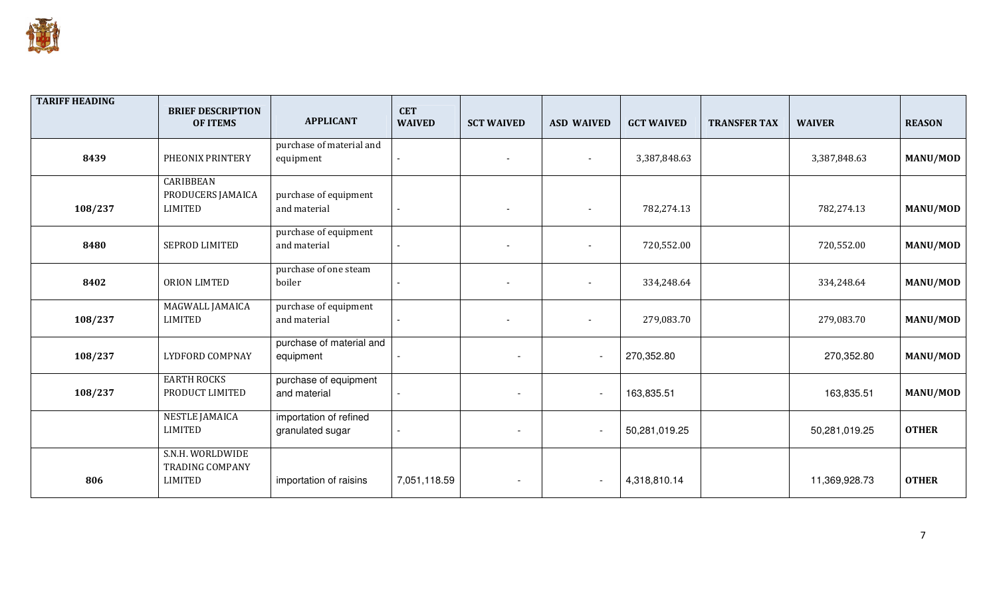

| <b>TARIFF HEADING</b> | <b>BRIEF DESCRIPTION</b><br><b>OF ITEMS</b>           | <b>APPLICANT</b>                           | <b>CET</b><br><b>WAIVED</b> | <b>SCT WAIVED</b> | <b>ASD WAIVED</b>        | <b>GCT WAIVED</b> | <b>TRANSFER TAX</b> | <b>WAIVER</b> | <b>REASON</b>   |
|-----------------------|-------------------------------------------------------|--------------------------------------------|-----------------------------|-------------------|--------------------------|-------------------|---------------------|---------------|-----------------|
| 8439                  | PHEONIX PRINTERY                                      | purchase of material and<br>equipment      | $\blacksquare$              |                   |                          | 3,387,848.63      |                     | 3,387,848.63  | MANU/MOD        |
| 108/237               | CARIBBEAN<br>PRODUCERS JAMAICA<br><b>LIMITED</b>      | purchase of equipment<br>and material      | $\blacksquare$              |                   |                          | 782,274.13        |                     | 782,274.13    | <b>MANU/MOD</b> |
| 8480                  | SEPROD LIMITED                                        | purchase of equipment<br>and material      | $\blacksquare$              |                   |                          | 720,552.00        |                     | 720,552.00    | <b>MANU/MOD</b> |
| 8402                  | ORION LIMTED                                          | purchase of one steam<br>boiler            | $\blacksquare$              |                   |                          | 334,248.64        |                     | 334,248.64    | MANU/MOD        |
| 108/237               | MAGWALL JAMAICA<br><b>LIMITED</b>                     | purchase of equipment<br>and material      |                             |                   |                          | 279,083.70        |                     | 279,083.70    | MANU/MOD        |
| 108/237               | <b>LYDFORD COMPNAY</b>                                | purchase of material and<br>equipment      |                             |                   | $\overline{\phantom{a}}$ | 270,352.80        |                     | 270,352.80    | MANU/MOD        |
| 108/237               | <b>EARTH ROCKS</b><br>PRODUCT LIMITED                 | purchase of equipment<br>and material      | $\mathbf{r}$                |                   | $\overline{\phantom{a}}$ | 163,835.51        |                     | 163,835.51    | MANU/MOD        |
|                       | <b>NESTLE JAMAICA</b><br><b>LIMITED</b>               | importation of refined<br>granulated sugar | $\blacksquare$              |                   | $\overline{\phantom{a}}$ | 50,281,019.25     |                     | 50,281,019.25 | <b>OTHER</b>    |
| 806                   | S.N.H. WORLDWIDE<br><b>TRADING COMPANY</b><br>LIMITED | importation of raisins                     | 7,051,118.59                |                   | $\overline{\phantom{a}}$ | 4,318,810.14      |                     | 11,369,928.73 | <b>OTHER</b>    |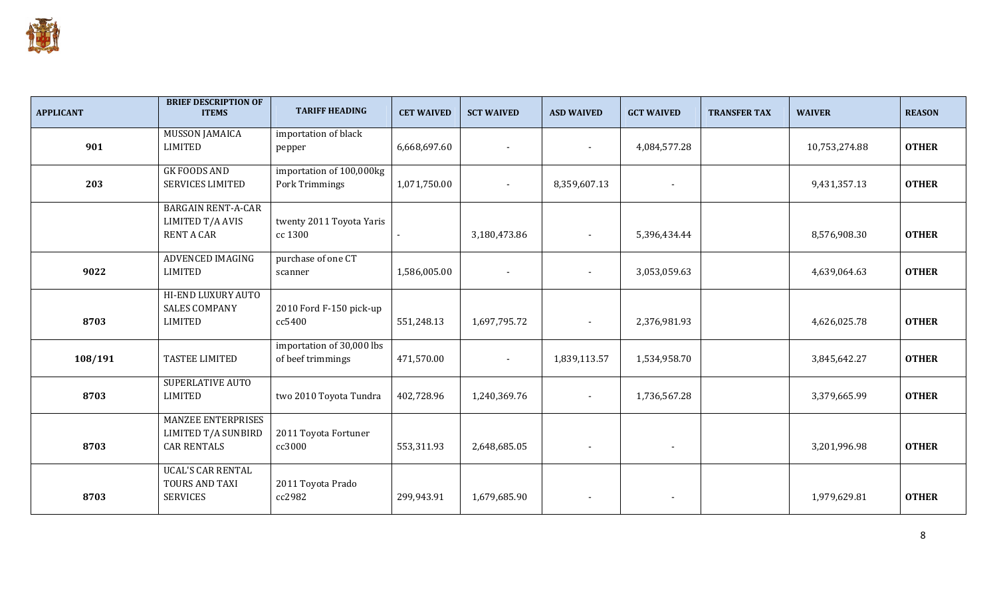

| <b>APPLICANT</b> | <b>BRIEF DESCRIPTION OF</b><br><b>ITEMS</b>                            | <b>TARIFF HEADING</b>                          | <b>CET WAIVED</b> | <b>SCT WAIVED</b>        | <b>ASD WAIVED</b>        | <b>GCT WAIVED</b>        | <b>TRANSFER TAX</b> | <b>WAIVER</b> | <b>REASON</b> |
|------------------|------------------------------------------------------------------------|------------------------------------------------|-------------------|--------------------------|--------------------------|--------------------------|---------------------|---------------|---------------|
| 901              | <b>MUSSON JAMAICA</b><br><b>LIMITED</b>                                | importation of black<br>pepper                 | 6,668,697.60      |                          |                          | 4,084,577.28             |                     | 10,753,274.88 | <b>OTHER</b>  |
| 203              | <b>GK FOODS AND</b><br><b>SERVICES LIMITED</b>                         | importation of 100,000kg<br>Pork Trimmings     | 1,071,750.00      | $\overline{\phantom{0}}$ | 8,359,607.13             |                          |                     | 9,431,357.13  | <b>OTHER</b>  |
|                  | <b>BARGAIN RENT-A-CAR</b><br>LIMITED T/A AVIS<br><b>RENT A CAR</b>     | twenty 2011 Toyota Yaris<br>cc 1300            |                   | 3,180,473.86             | $\blacksquare$           | 5,396,434.44             |                     | 8,576,908.30  | <b>OTHER</b>  |
| 9022             | <b>ADVENCED IMAGING</b><br><b>LIMITED</b>                              | purchase of one CT<br>scanner                  | 1,586,005.00      |                          | $\blacksquare$           | 3,053,059.63             |                     | 4,639,064.63  | <b>OTHER</b>  |
| 8703             | HI-END LUXURY AUTO<br><b>SALES COMPANY</b><br><b>LIMITED</b>           | 2010 Ford F-150 pick-up<br>cc5400              | 551,248.13        | 1,697,795.72             | $\overline{\phantom{a}}$ | 2,376,981.93             |                     | 4,626,025.78  | <b>OTHER</b>  |
| 108/191          | TASTEE LIMITED                                                         | importation of 30,000 lbs<br>of beef trimmings | 471,570.00        | $\overline{\phantom{0}}$ | 1,839,113.57             | 1,534,958.70             |                     | 3,845,642.27  | <b>OTHER</b>  |
| 8703             | <b>SUPERLATIVE AUTO</b><br><b>LIMITED</b>                              | two 2010 Toyota Tundra                         | 402,728.96        | 1,240,369.76             | $\overline{\phantom{a}}$ | 1,736,567.28             |                     | 3,379,665.99  | <b>OTHER</b>  |
| 8703             | <b>MANZEE ENTERPRISES</b><br>LIMITED T/A SUNBIRD<br><b>CAR RENTALS</b> | 2011 Toyota Fortuner<br>cc3000                 | 553,311.93        | 2,648,685.05             | $\sim$                   |                          |                     | 3,201,996.98  | <b>OTHER</b>  |
| 8703             | <b>UCAL'S CAR RENTAL</b><br>TOURS AND TAXI<br><b>SERVICES</b>          | 2011 Toyota Prado<br>cc2982                    | 299,943.91        | 1,679,685.90             | $\overline{\phantom{a}}$ | $\overline{\phantom{a}}$ |                     | 1,979,629.81  | <b>OTHER</b>  |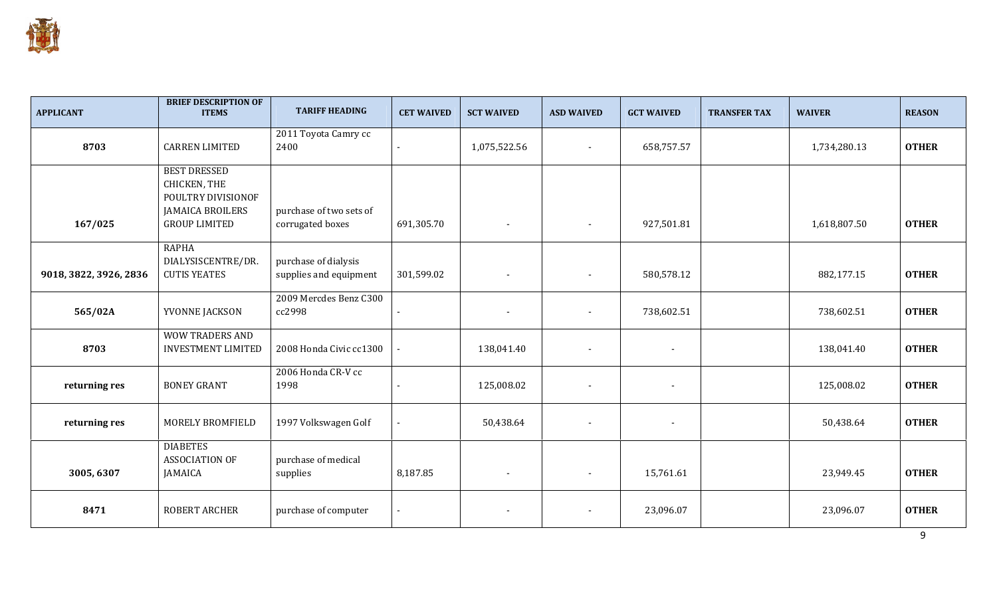

| <b>APPLICANT</b>       | <b>BRIEF DESCRIPTION OF</b><br><b>ITEMS</b>                                                                  | <b>TARIFF HEADING</b>                          | <b>CET WAIVED</b>        | <b>SCT WAIVED</b>        | <b>ASD WAIVED</b>        | <b>GCT WAIVED</b>        | <b>TRANSFER TAX</b> | <b>WAIVER</b> | <b>REASON</b> |
|------------------------|--------------------------------------------------------------------------------------------------------------|------------------------------------------------|--------------------------|--------------------------|--------------------------|--------------------------|---------------------|---------------|---------------|
| 8703                   | <b>CARREN LIMITED</b>                                                                                        | 2011 Toyota Camry cc<br>2400                   |                          | 1,075,522.56             | $\blacksquare$           | 658,757.57               |                     | 1,734,280.13  | <b>OTHER</b>  |
| 167/025                | <b>BEST DRESSED</b><br>CHICKEN, THE<br>POULTRY DIVISIONOF<br><b>JAMAICA BROILERS</b><br><b>GROUP LIMITED</b> | purchase of two sets of<br>corrugated boxes    | 691,305.70               | $\blacksquare$           | $\overline{\phantom{a}}$ | 927,501.81               |                     | 1,618,807.50  | <b>OTHER</b>  |
| 9018, 3822, 3926, 2836 | <b>RAPHA</b><br>DIALYSISCENTRE/DR.<br><b>CUTIS YEATES</b>                                                    | purchase of dialysis<br>supplies and equipment | 301,599.02               |                          |                          | 580,578.12               |                     | 882,177.15    | <b>OTHER</b>  |
| 565/02A                | YVONNE JACKSON                                                                                               | 2009 Mercdes Benz C300<br>cc2998               |                          | $\blacksquare$           | $\overline{\phantom{a}}$ | 738,602.51               |                     | 738,602.51    | <b>OTHER</b>  |
| 8703                   | <b>WOW TRADERS AND</b><br><b>INVESTMENT LIMITED</b>                                                          | 2008 Honda Civic cc1300                        |                          | 138,041.40               | $\overline{\phantom{a}}$ | $\blacksquare$           |                     | 138,041.40    | <b>OTHER</b>  |
| returning res          | <b>BONEY GRANT</b>                                                                                           | 2006 Honda CR-V cc<br>1998                     | $\overline{\phantom{0}}$ | 125,008.02               | $\overline{\phantom{a}}$ | $\blacksquare$           |                     | 125,008.02    | <b>OTHER</b>  |
| returning res          | MORELY BROMFIELD                                                                                             | 1997 Volkswagen Golf                           |                          | 50,438.64                | $\overline{\phantom{a}}$ | $\overline{\phantom{a}}$ |                     | 50,438.64     | <b>OTHER</b>  |
| 3005, 6307             | <b>DIABETES</b><br><b>ASSOCIATION OF</b><br><b>JAMAICA</b>                                                   | purchase of medical<br>supplies                | 8,187.85                 | $\blacksquare$           | $\blacksquare$           | 15,761.61                |                     | 23,949.45     | <b>OTHER</b>  |
| 8471                   | <b>ROBERT ARCHER</b>                                                                                         | purchase of computer                           | $\blacksquare$           | $\overline{\phantom{a}}$ | $\overline{\phantom{a}}$ | 23,096.07                |                     | 23,096.07     | <b>OTHER</b>  |

9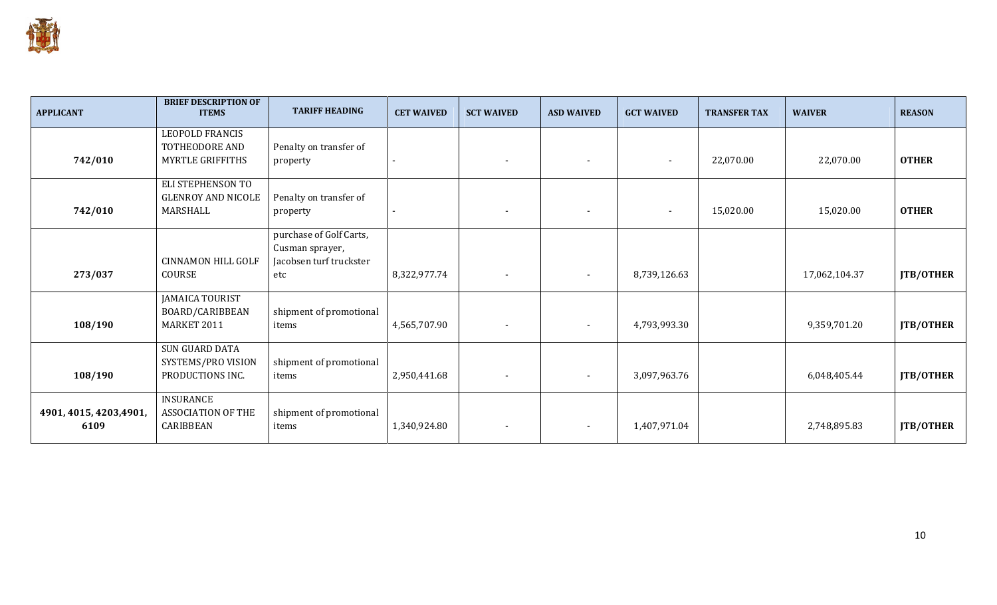

| <b>APPLICANT</b>                | <b>BRIEF DESCRIPTION OF</b><br><b>ITEMS</b>                  | <b>TARIFF HEADING</b>                                                        | <b>CET WAIVED</b> | <b>SCT WAIVED</b>        | <b>ASD WAIVED</b>        | <b>GCT WAIVED</b>        | <b>TRANSFER TAX</b> | <b>WAIVER</b> | <b>REASON</b>    |
|---------------------------------|--------------------------------------------------------------|------------------------------------------------------------------------------|-------------------|--------------------------|--------------------------|--------------------------|---------------------|---------------|------------------|
| 742/010                         | LEOPOLD FRANCIS<br>TOTHEODORE AND<br><b>MYRTLE GRIFFITHS</b> | Penalty on transfer of<br>property                                           |                   | $\overline{\phantom{a}}$ | $\blacksquare$           | $\sim$                   | 22,070.00           | 22,070.00     | <b>OTHER</b>     |
| 742/010                         | ELI STEPHENSON TO<br><b>GLENROY AND NICOLE</b><br>MARSHALL   | Penalty on transfer of<br>property                                           |                   |                          | $\overline{\phantom{a}}$ | $\overline{\phantom{a}}$ | 15,020.00           | 15,020.00     | <b>OTHER</b>     |
| 273/037                         | <b>CINNAMON HILL GOLF</b><br><b>COURSE</b>                   | purchase of Golf Carts,<br>Cusman sprayer,<br>Jacobsen turf truckster<br>etc | 8,322,977.74      |                          | $\overline{\phantom{a}}$ | 8,739,126.63             |                     | 17,062,104.37 | JTB/OTHER        |
| 108/190                         | <b>JAMAICA TOURIST</b><br>BOARD/CARIBBEAN<br>MARKET 2011     | shipment of promotional<br>items                                             | 4,565,707.90      |                          | $\overline{\phantom{a}}$ | 4,793,993.30             |                     | 9,359,701.20  | <b>JTB/OTHER</b> |
| 108/190                         | SUN GUARD DATA<br>SYSTEMS/PRO VISION<br>PRODUCTIONS INC.     | shipment of promotional<br>items                                             | 2,950,441.68      |                          | $\overline{\phantom{a}}$ | 3,097,963.76             |                     | 6,048,405.44  | JTB/OTHER        |
| 4901, 4015, 4203, 4901,<br>6109 | INSURANCE<br><b>ASSOCIATION OF THE</b><br>CARIBBEAN          | shipment of promotional<br>items                                             | 1,340,924.80      |                          | $\overline{\phantom{a}}$ | 1,407,971.04             |                     | 2,748,895.83  | <b>JTB/OTHER</b> |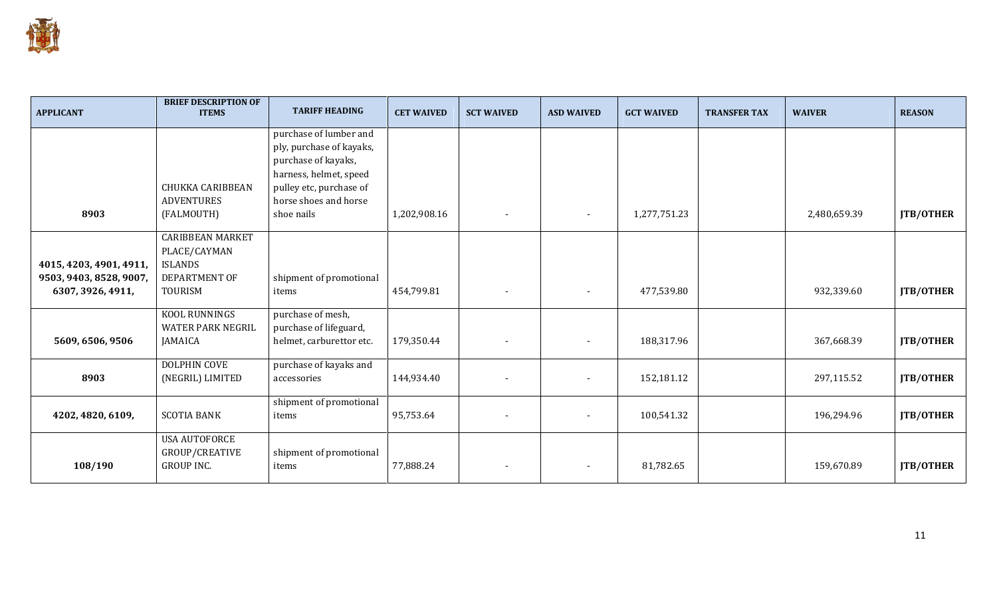

| <b>APPLICANT</b>                                                        | <b>BRIEF DESCRIPTION OF</b><br><b>ITEMS</b>                                                  | <b>TARIFF HEADING</b>                                                                                                                                                 | <b>CET WAIVED</b> | <b>SCT WAIVED</b> | <b>ASD WAIVED</b>        | <b>GCT WAIVED</b> | <b>TRANSFER TAX</b> | <b>WAIVER</b> | <b>REASON</b>    |
|-------------------------------------------------------------------------|----------------------------------------------------------------------------------------------|-----------------------------------------------------------------------------------------------------------------------------------------------------------------------|-------------------|-------------------|--------------------------|-------------------|---------------------|---------------|------------------|
| 8903                                                                    | <b>CHUKKA CARIBBEAN</b><br><b>ADVENTURES</b><br>(FALMOUTH)                                   | purchase of lumber and<br>ply, purchase of kayaks,<br>purchase of kayaks,<br>harness, helmet, speed<br>pulley etc, purchase of<br>horse shoes and horse<br>shoe nails | 1,202,908.16      |                   | $\overline{\phantom{a}}$ | 1,277,751.23      |                     | 2,480,659.39  | JTB/OTHER        |
| 4015, 4203, 4901, 4911,<br>9503, 9403, 8528, 9007,<br>6307, 3926, 4911, | <b>CARIBBEAN MARKET</b><br>PLACE/CAYMAN<br><b>ISLANDS</b><br>DEPARTMENT OF<br><b>TOURISM</b> | shipment of promotional<br>items                                                                                                                                      | 454,799.81        |                   | $\overline{\phantom{a}}$ | 477,539.80        |                     | 932,339.60    | JTB/OTHER        |
| 5609, 6506, 9506                                                        | KOOL RUNNINGS<br><b>WATER PARK NEGRIL</b><br>JAMAICA                                         | purchase of mesh,<br>purchase of lifeguard,<br>helmet, carburettor etc.                                                                                               | 179,350.44        |                   | $\overline{\phantom{a}}$ | 188,317.96        |                     | 367,668.39    | <b>JTB/OTHER</b> |
| 8903                                                                    | DOLPHIN COVE<br>(NEGRIL) LIMITED                                                             | purchase of kayaks and<br>accessories                                                                                                                                 | 144,934.40        |                   | $\overline{\phantom{a}}$ | 152,181.12        |                     | 297,115.52    | JTB/OTHER        |
| 4202, 4820, 6109,                                                       | <b>SCOTIA BANK</b>                                                                           | shipment of promotional<br>items                                                                                                                                      | 95,753.64         |                   | $\overline{\phantom{a}}$ | 100,541.32        |                     | 196,294.96    | <b>JTB/OTHER</b> |
| 108/190                                                                 | <b>USA AUTOFORCE</b><br>GROUP/CREATIVE<br><b>GROUP INC.</b>                                  | shipment of promotional<br>items                                                                                                                                      | 77,888.24         |                   | $\overline{\phantom{a}}$ | 81,782.65         |                     | 159,670.89    | <b>JTB/OTHER</b> |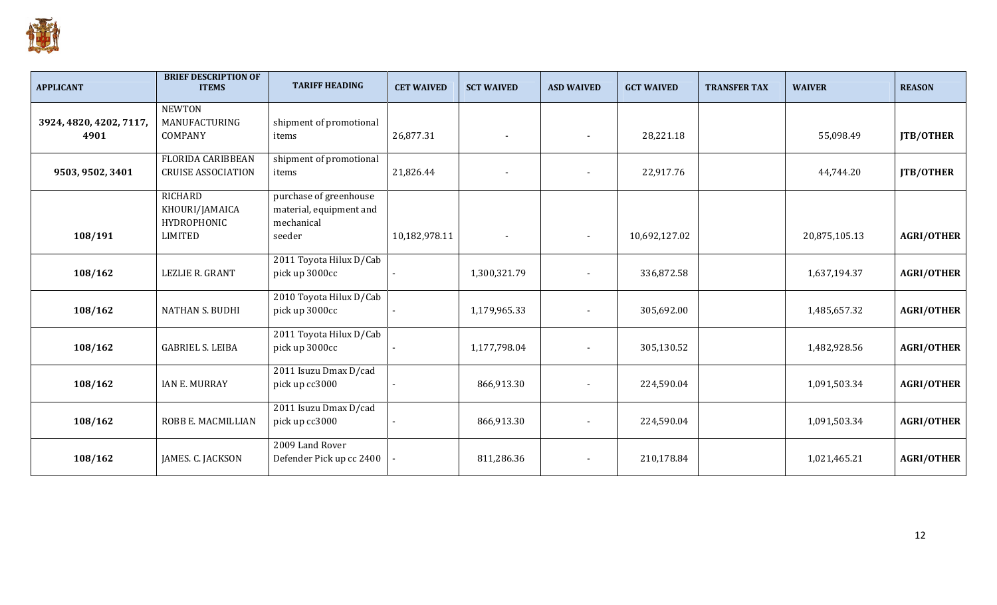

| <b>APPLICANT</b>                | <b>BRIEF DESCRIPTION OF</b><br><b>ITEMS</b>                              | <b>TARIFF HEADING</b>                                                     | <b>CET WAIVED</b> | <b>SCT WAIVED</b> | <b>ASD WAIVED</b>        | <b>GCT WAIVED</b> | <b>TRANSFER TAX</b> | <b>WAIVER</b> | <b>REASON</b>     |
|---------------------------------|--------------------------------------------------------------------------|---------------------------------------------------------------------------|-------------------|-------------------|--------------------------|-------------------|---------------------|---------------|-------------------|
| 3924, 4820, 4202, 7117,<br>4901 | <b>NEWTON</b><br>MANUFACTURING<br>COMPANY                                | shipment of promotional<br>items                                          | 26,877.31         |                   |                          | 28,221.18         |                     | 55,098.49     | JTB/OTHER         |
| 9503, 9502, 3401                | <b>FLORIDA CARIBBEAN</b><br><b>CRUISE ASSOCIATION</b>                    | shipment of promotional<br>items                                          | 21,826.44         |                   |                          | 22,917.76         |                     | 44,744.20     | JTB/OTHER         |
| 108/191                         | <b>RICHARD</b><br>KHOURI/JAMAICA<br><b>HYDROPHONIC</b><br><b>LIMITED</b> | purchase of greenhouse<br>material, equipment and<br>mechanical<br>seeder | 10,182,978.11     |                   | $\overline{\phantom{a}}$ | 10,692,127.02     |                     | 20,875,105.13 | <b>AGRI/OTHER</b> |
| 108/162                         | LEZLIE R. GRANT                                                          | 2011 Toyota Hilux D/Cab<br>pick up 3000cc                                 |                   | 1,300,321.79      |                          | 336,872.58        |                     | 1,637,194.37  | <b>AGRI/OTHER</b> |
| 108/162                         | <b>NATHAN S. BUDHI</b>                                                   | 2010 Toyota Hilux D/Cab<br>pick up 3000cc                                 |                   | 1,179,965.33      |                          | 305,692.00        |                     | 1,485,657.32  | <b>AGRI/OTHER</b> |
| 108/162                         | <b>GABRIEL S. LEIBA</b>                                                  | 2011 Toyota Hilux D/Cab<br>pick up 3000cc                                 |                   | 1,177,798.04      |                          | 305,130.52        |                     | 1,482,928.56  | <b>AGRI/OTHER</b> |
| 108/162                         | <b>IAN E. MURRAY</b>                                                     | 2011 Isuzu Dmax D/cad<br>pick up cc3000                                   |                   | 866,913.30        |                          | 224,590.04        |                     | 1,091,503.34  | <b>AGRI/OTHER</b> |
| 108/162                         | ROBB E. MACMILLIAN                                                       | 2011 Isuzu Dmax D/cad<br>pick up cc3000                                   |                   | 866,913.30        |                          | 224,590.04        |                     | 1,091,503.34  | <b>AGRI/OTHER</b> |
| 108/162                         | JAMES. C. JACKSON                                                        | 2009 Land Rover<br>Defender Pick up cc 2400                               |                   | 811,286.36        |                          | 210,178.84        |                     | 1,021,465.21  | <b>AGRI/OTHER</b> |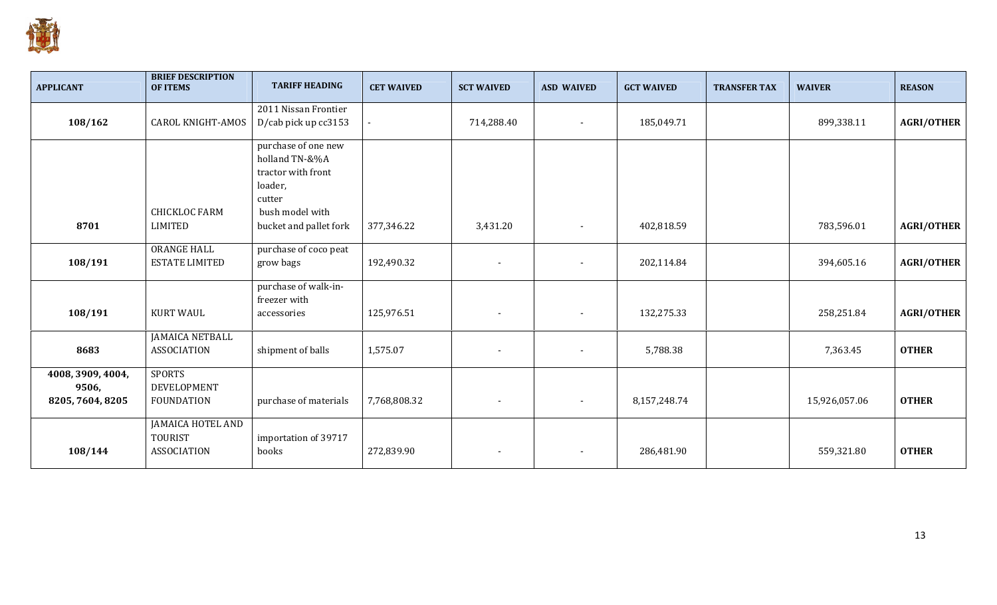

| <b>APPLICANT</b>  | <b>BRIEF DESCRIPTION</b><br><b>OF ITEMS</b> | <b>TARIFF HEADING</b>     | <b>CET WAIVED</b> | <b>SCT WAIVED</b>        | <b>ASD WAIVED</b> | <b>GCT WAIVED</b> | <b>TRANSFER TAX</b> | <b>WAIVER</b> | <b>REASON</b>     |
|-------------------|---------------------------------------------|---------------------------|-------------------|--------------------------|-------------------|-------------------|---------------------|---------------|-------------------|
|                   |                                             | 2011 Nissan Frontier      |                   |                          |                   |                   |                     |               |                   |
| 108/162           | <b>CAROL KNIGHT-AMOS</b>                    | D/cab pick up cc3153      |                   | 714,288.40               |                   | 185,049.71        |                     | 899,338.11    | <b>AGRI/OTHER</b> |
|                   |                                             | purchase of one new       |                   |                          |                   |                   |                     |               |                   |
|                   |                                             | holland TN-&%A            |                   |                          |                   |                   |                     |               |                   |
|                   |                                             | tractor with front        |                   |                          |                   |                   |                     |               |                   |
|                   |                                             | loader,                   |                   |                          |                   |                   |                     |               |                   |
|                   | <b>CHICKLOC FARM</b>                        | cutter<br>bush model with |                   |                          |                   |                   |                     |               |                   |
| 8701              | <b>LIMITED</b>                              | bucket and pallet fork    | 377,346.22        | 3,431.20                 |                   | 402,818.59        |                     | 783,596.01    | <b>AGRI/OTHER</b> |
|                   | <b>ORANGE HALL</b>                          | purchase of coco peat     |                   |                          |                   |                   |                     |               |                   |
| 108/191           | <b>ESTATE LIMITED</b>                       | grow bags                 | 192,490.32        | $\blacksquare$           |                   | 202,114.84        |                     | 394,605.16    | <b>AGRI/OTHER</b> |
|                   |                                             | purchase of walk-in-      |                   |                          |                   |                   |                     |               |                   |
|                   |                                             | freezer with              |                   |                          |                   |                   |                     |               |                   |
| 108/191           | <b>KURT WAUL</b>                            | accessories               | 125,976.51        | $\overline{\phantom{a}}$ |                   | 132,275.33        |                     | 258,251.84    | <b>AGRI/OTHER</b> |
|                   | <b>JAMAICA NETBALL</b>                      |                           |                   |                          |                   |                   |                     |               |                   |
| 8683              | <b>ASSOCIATION</b>                          | shipment of balls         | 1,575.07          |                          |                   | 5,788.38          |                     | 7,363.45      | <b>OTHER</b>      |
| 4008, 3909, 4004, | <b>SPORTS</b>                               |                           |                   |                          |                   |                   |                     |               |                   |
| 9506,             | DEVELOPMENT                                 |                           |                   |                          |                   |                   |                     |               |                   |
| 8205, 7604, 8205  | <b>FOUNDATION</b>                           | purchase of materials     | 7,768,808.32      | $\overline{\phantom{a}}$ |                   | 8,157,248.74      |                     | 15,926,057.06 | <b>OTHER</b>      |
|                   | <b>JAMAICA HOTEL AND</b>                    |                           |                   |                          |                   |                   |                     |               |                   |
|                   | <b>TOURIST</b>                              | importation of 39717      |                   |                          |                   |                   |                     |               |                   |
| 108/144           | <b>ASSOCIATION</b>                          | books                     | 272,839.90        | $\overline{\phantom{a}}$ |                   | 286,481.90        |                     | 559,321.80    | <b>OTHER</b>      |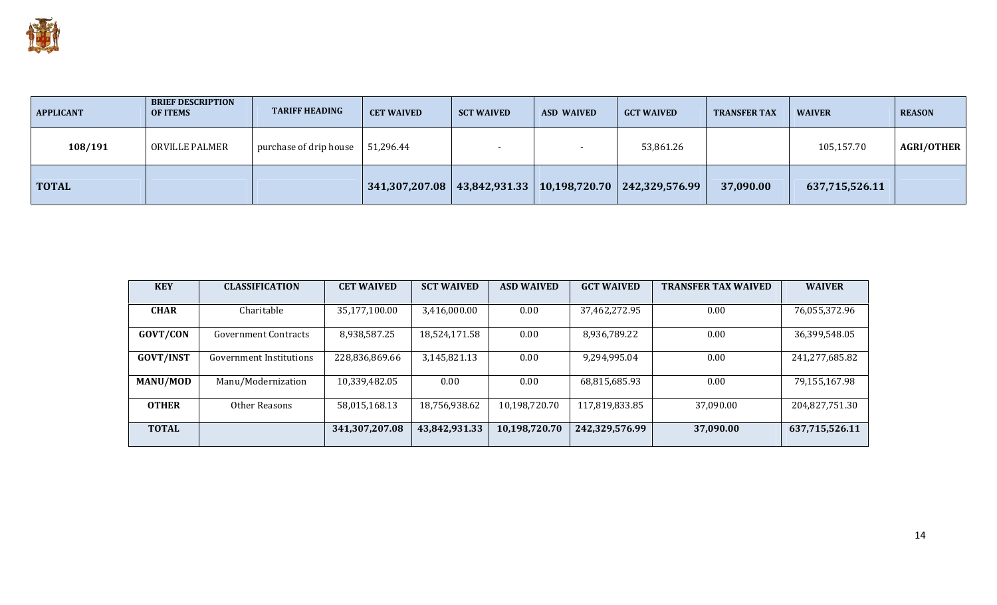

| <b>APPLICANT</b> | <b>BRIEF DESCRIPTION</b><br><b>OF ITEMS</b> | <b>TARIFF HEADING</b>  | <b>CET WAIVED</b> | <b>SCT WAIVED</b> | <b>ASD WAIVED</b> | <b>GCT WAIVED</b>                                                 | <b>TRANSFER TAX</b> | <b>WAIVER</b>  | <b>REASON</b>     |
|------------------|---------------------------------------------|------------------------|-------------------|-------------------|-------------------|-------------------------------------------------------------------|---------------------|----------------|-------------------|
| 108/191          | ORVILLE PALMER                              | purchase of drip house | 51,296.44         |                   |                   | 53,861.26                                                         |                     | 105,157.70     | <b>AGRI/OTHER</b> |
| <b>TOTAL</b>     |                                             |                        |                   |                   |                   | $341,307,207.08$   43,842,931.33   10,198,720.70   242,329,576.99 | 37,090.00           | 637,715,526.11 |                   |

| <b>KEY</b>       | <b>CLASSIFICATION</b>       | <b>CET WAIVED</b> | <b>SCT WAIVED</b> | <b>ASD WAIVED</b> | <b>GCT WAIVED</b> | <b>TRANSFER TAX WAIVED</b> | <b>WAIVER</b>  |
|------------------|-----------------------------|-------------------|-------------------|-------------------|-------------------|----------------------------|----------------|
|                  |                             |                   |                   |                   |                   |                            |                |
| <b>CHAR</b>      | Charitable                  | 35,177,100.00     | 3,416,000.00      | 0.00              | 37,462,272.95     | 0.00                       | 76,055,372.96  |
|                  |                             |                   |                   |                   |                   |                            |                |
| GOVT/CON         | <b>Government Contracts</b> | 8,938,587.25      | 18,524,171.58     | 0.00              | 8,936,789.22      | 0.00                       | 36,399,548.05  |
|                  |                             |                   |                   |                   |                   |                            |                |
| <b>GOVT/INST</b> | Government Institutions     | 228,836,869.66    | 3,145,821.13      | 0.00              | 9,294,995.04      | 0.00                       | 241,277,685.82 |
|                  |                             |                   |                   |                   |                   |                            |                |
| <b>MANU/MOD</b>  | Manu/Modernization          | 10,339,482.05     | 0.00              | 0.00              | 68,815,685.93     | 0.00                       | 79,155,167.98  |
|                  |                             |                   |                   |                   |                   |                            |                |
| <b>OTHER</b>     | Other Reasons               | 58,015,168.13     | 18,756,938.62     | 10,198,720.70     | 117,819,833.85    | 37,090.00                  | 204,827,751.30 |
|                  |                             |                   |                   |                   |                   |                            |                |
| <b>TOTAL</b>     |                             | 341,307,207.08    | 43,842,931.33     | 10,198,720.70     | 242,329,576.99    | 37,090.00                  | 637,715,526.11 |
|                  |                             |                   |                   |                   |                   |                            |                |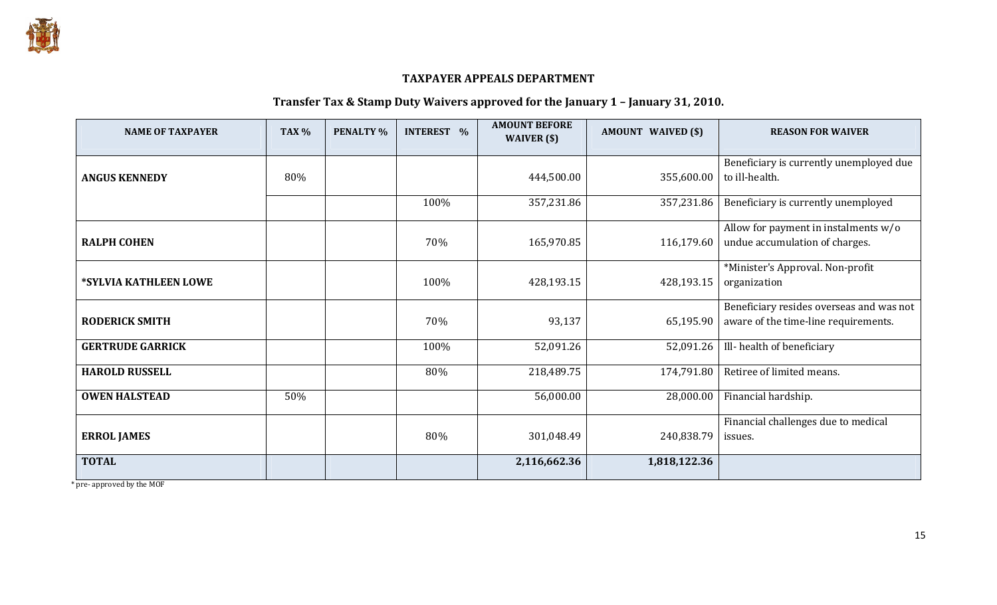

### TAXPAYER APPEALS DEPARTMENT

#### Transfer Tax & Stamp Duty Waivers approved for the January 1 – January 31, 2010.

| <b>NAME OF TAXPAYER</b> | <b>TAX %</b> | <b>PENALTY %</b> | <b>INTEREST %</b> | <b>AMOUNT BEFORE</b><br>WAIVER $(s)$ | <b>AMOUNT WAIVED (\$)</b> | <b>REASON FOR WAIVER</b>                 |
|-------------------------|--------------|------------------|-------------------|--------------------------------------|---------------------------|------------------------------------------|
|                         |              |                  |                   |                                      |                           |                                          |
|                         |              |                  |                   |                                      |                           | Beneficiary is currently unemployed due  |
| <b>ANGUS KENNEDY</b>    | 80%          |                  |                   | 444,500.00                           | 355,600.00                | to ill-health.                           |
|                         |              |                  | 100%              | 357,231.86                           | 357,231.86                | Beneficiary is currently unemployed      |
|                         |              |                  |                   |                                      |                           |                                          |
|                         |              |                  |                   |                                      |                           | Allow for payment in instalments $w/o$   |
| <b>RALPH COHEN</b>      |              |                  | 70%               | 165,970.85                           | 116,179.60                | undue accumulation of charges.           |
|                         |              |                  |                   |                                      |                           | *Minister's Approval. Non-profit         |
| *SYLVIA KATHLEEN LOWE   |              |                  | 100%              | 428,193.15                           | 428,193.15                | organization                             |
|                         |              |                  |                   |                                      |                           |                                          |
|                         |              |                  |                   |                                      |                           | Beneficiary resides overseas and was not |
| <b>RODERICK SMITH</b>   |              |                  | 70%               | 93,137                               | 65,195.90                 | aware of the time-line requirements.     |
|                         |              |                  |                   |                                      |                           |                                          |
| <b>GERTRUDE GARRICK</b> |              |                  | 100%              | 52,091.26                            | 52,091.26                 | Ill-health of beneficiary                |
| <b>HAROLD RUSSELL</b>   |              |                  | 80%               | 218,489.75                           | 174,791.80                | Retiree of limited means.                |
|                         |              |                  |                   |                                      |                           |                                          |
| <b>OWEN HALSTEAD</b>    | 50%          |                  |                   | 56,000.00                            | 28,000.00                 | Financial hardship.                      |
|                         |              |                  |                   |                                      |                           | Financial challenges due to medical      |
|                         |              |                  | 80%               |                                      |                           |                                          |
| <b>ERROL JAMES</b>      |              |                  |                   | 301,048.49                           | 240,838.79                | issues.                                  |
| <b>TOTAL</b>            |              |                  |                   | 2,116,662.36                         | 1,818,122.36              |                                          |
|                         |              |                  |                   |                                      |                           |                                          |

\* pre- approved by the MOF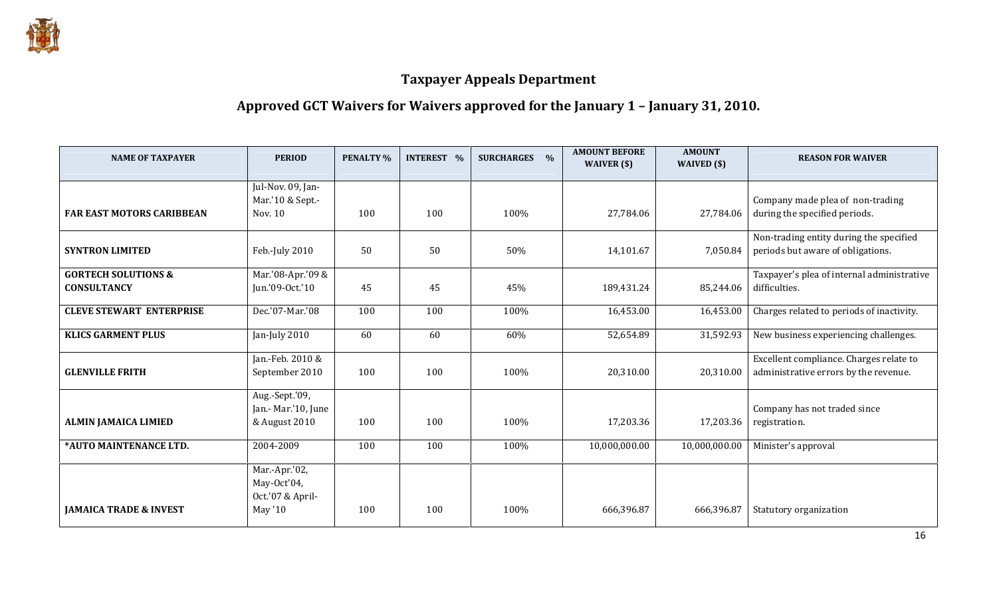

### Approved GCT Waivers for Waivers approved for the January 1 – January 31, 2010.

| <b>NAME OF TAXPAYER</b>           | <b>PERIOD</b>       | <b>PENALTY %</b> | <b>INTEREST %</b> | $\frac{0}{0}$<br><b>SURCHARGES</b> | <b>AMOUNT BEFORE</b><br>WAIVER (\$) | <b>AMOUNT</b><br>WAIVED (\$) | <b>REASON FOR WAIVER</b>                   |
|-----------------------------------|---------------------|------------------|-------------------|------------------------------------|-------------------------------------|------------------------------|--------------------------------------------|
|                                   |                     |                  |                   |                                    |                                     |                              |                                            |
|                                   | Jul-Nov. 09, Jan-   |                  |                   |                                    |                                     |                              |                                            |
|                                   | Mar.'10 & Sept.-    |                  |                   |                                    |                                     |                              | Company made plea of non-trading           |
| <b>FAR EAST MOTORS CARIBBEAN</b>  | Nov. 10             | 100              | 100               | 100%                               | 27,784.06                           | 27,784.06                    | during the specified periods.              |
|                                   |                     |                  |                   |                                    |                                     |                              |                                            |
|                                   |                     |                  |                   |                                    |                                     |                              | Non-trading entity during the specified    |
| <b>SYNTRON LIMITED</b>            | Feb.-July 2010      | 50               | 50                | 50%                                | 14,101.67                           | 7,050.84                     | periods but aware of obligations.          |
|                                   |                     |                  |                   |                                    |                                     |                              |                                            |
| <b>GORTECH SOLUTIONS &amp;</b>    | Mar.'08-Apr.'09 &   |                  |                   |                                    |                                     |                              | Taxpayer's plea of internal administrative |
| <b>CONSULTANCY</b>                | Jun.'09-Oct.'10     | 45               | 45                | 45%                                | 189,431.24                          | 85,244.06                    | difficulties.                              |
| <b>CLEVE STEWART ENTERPRISE</b>   | Dec.'07-Mar.'08     | 100              | 100               | 100%                               | 16,453.00                           | 16,453.00                    | Charges related to periods of inactivity.  |
|                                   |                     |                  |                   |                                    |                                     |                              |                                            |
| <b>KLICS GARMENT PLUS</b>         | Jan-July 2010       | 60               | 60                | 60%                                | 52,654.89                           | 31,592.93                    | New business experiencing challenges.      |
|                                   |                     |                  |                   |                                    |                                     |                              |                                            |
|                                   | Jan.-Feb. 2010 &    |                  |                   |                                    |                                     |                              | Excellent compliance. Charges relate to    |
| <b>GLENVILLE FRITH</b>            | September 2010      | 100              | 100               | 100%                               | 20,310.00                           | 20,310.00                    | administrative errors by the revenue.      |
|                                   |                     |                  |                   |                                    |                                     |                              |                                            |
|                                   | Aug.-Sept.'09,      |                  |                   |                                    |                                     |                              |                                            |
|                                   | Jan.- Mar.'10, June |                  |                   |                                    |                                     |                              | Company has not traded since               |
| <b>ALMIN JAMAICA LIMIED</b>       | & August 2010       | 100              | 100               | 100%                               | 17,203.36                           | 17,203.36                    | registration.                              |
| *AUTO MAINTENANCE LTD.            | 2004-2009           | 100              | 100               | 100%                               | 10,000,000.00                       | 10,000,000.00                | Minister's approval                        |
|                                   |                     |                  |                   |                                    |                                     |                              |                                            |
|                                   | Mar.-Apr.'02,       |                  |                   |                                    |                                     |                              |                                            |
|                                   | May-Oct'04,         |                  |                   |                                    |                                     |                              |                                            |
|                                   | Oct.'07 & April-    |                  |                   |                                    |                                     |                              |                                            |
| <b>JAMAICA TRADE &amp; INVEST</b> | May '10             | 100              | 100               | 100%                               | 666,396.87                          | 666,396.87                   | Statutory organization                     |
|                                   |                     |                  |                   |                                    |                                     |                              |                                            |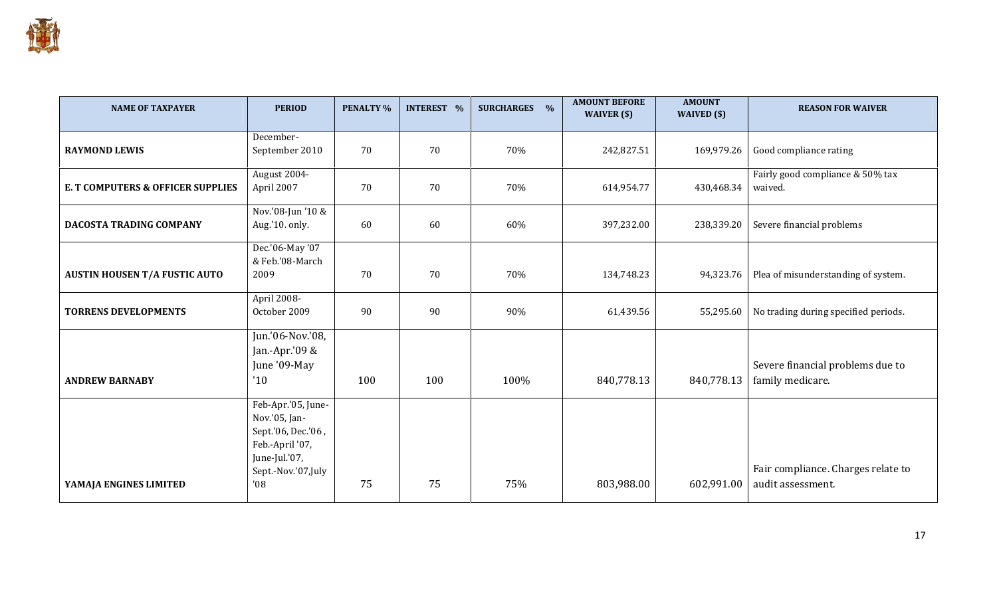

| <b>NAME OF TAXPAYER</b>                      | <b>PERIOD</b>                                                                                                              | <b>PENALTY %</b> | <b>INTEREST %</b> | <b>SURCHARGES</b><br>$\frac{0}{0}$ | <b>AMOUNT BEFORE</b><br>WAIVER (\$) | <b>AMOUNT</b><br>WAIVED (\$) | <b>REASON FOR WAIVER</b>                                |
|----------------------------------------------|----------------------------------------------------------------------------------------------------------------------------|------------------|-------------------|------------------------------------|-------------------------------------|------------------------------|---------------------------------------------------------|
| <b>RAYMOND LEWIS</b>                         | December-<br>September 2010                                                                                                | 70               | 70                | 70%                                | 242,827.51                          | 169,979.26                   | Good compliance rating                                  |
| <b>E. T COMPUTERS &amp; OFFICER SUPPLIES</b> | August 2004-<br>April 2007                                                                                                 | 70               | 70                | 70%                                | 614,954.77                          | 430,468.34                   | Fairly good compliance & 50% tax<br>waived.             |
| DACOSTA TRADING COMPANY                      | Nov.'08-Jun '10 &<br>Aug.'10. only.                                                                                        | 60               | 60                | 60%                                | 397,232.00                          | 238,339.20                   | Severe financial problems                               |
| <b>AUSTIN HOUSEN T/A FUSTIC AUTO</b>         | Dec.'06-May '07<br>& Feb.'08-March<br>2009                                                                                 | 70               | 70                | 70%                                | 134,748.23                          | 94,323.76                    | Plea of misunderstanding of system.                     |
| <b>TORRENS DEVELOPMENTS</b>                  | April 2008-<br>October 2009                                                                                                | 90               | 90                | 90%                                | 61,439.56                           | 55,295.60                    | No trading during specified periods.                    |
| <b>ANDREW BARNABY</b>                        | Jun.'06-Nov.'08,<br>Jan.-Apr.'09 &<br>June '09-May<br>'10                                                                  | 100              | 100               | 100%                               | 840,778.13                          | 840,778.13                   | Severe financial problems due to<br>family medicare.    |
| YAMAJA ENGINES LIMITED                       | Feb-Apr.'05, June-<br>Nov.'05, Jan-<br>Sept.'06, Dec.'06,<br>Feb.-April '07,<br>June-Jul.'07,<br>Sept.-Nov.'07,July<br>'08 | 75               | 75                | 75%                                | 803,988.00                          | 602,991.00                   | Fair compliance. Charges relate to<br>audit assessment. |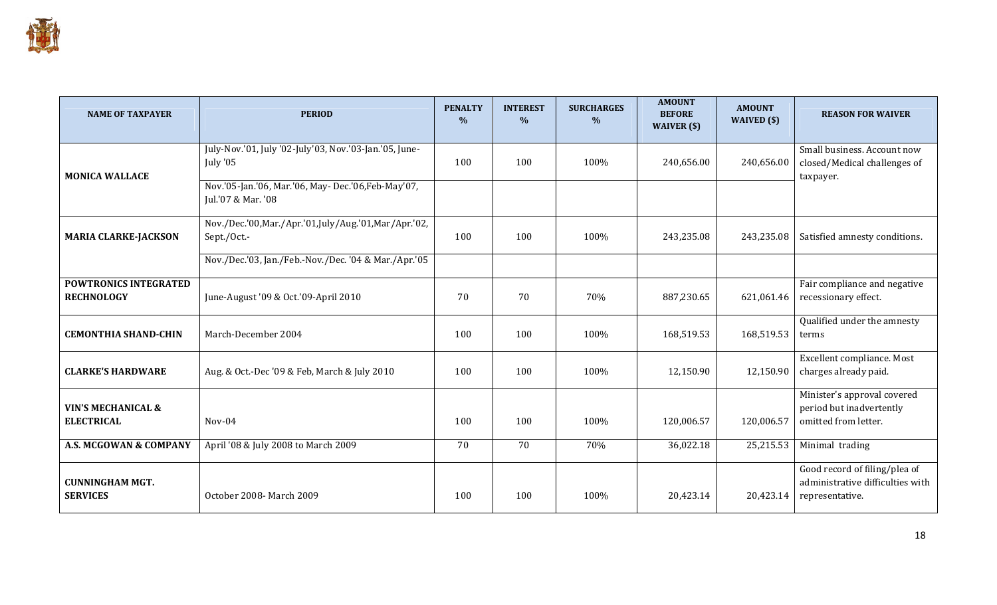

| <b>NAME OF TAXPAYER</b>                            | <b>PERIOD</b>                                                             | <b>PENALTY</b><br>$\%$ | <b>INTEREST</b><br>$\frac{0}{0}$ | <b>SURCHARGES</b><br>$\frac{0}{0}$ | <b>AMOUNT</b><br><b>BEFORE</b><br>WAIVER $($ math) | <b>AMOUNT</b><br>WAIVED (\$) | <b>REASON FOR WAIVER</b>                                                             |
|----------------------------------------------------|---------------------------------------------------------------------------|------------------------|----------------------------------|------------------------------------|----------------------------------------------------|------------------------------|--------------------------------------------------------------------------------------|
| <b>MONICA WALLACE</b>                              | July-Nov.'01, July '02-July'03, Nov.'03-Jan.'05, June-<br>July '05        | 100                    | 100                              | 100%                               | 240,656.00                                         | 240,656.00                   | Small business. Account now<br>closed/Medical challenges of<br>taxpayer.             |
|                                                    | Nov.'05-Jan.'06, Mar.'06, May- Dec.'06, Feb-May'07,<br>Jul.'07 & Mar. '08 |                        |                                  |                                    |                                                    |                              |                                                                                      |
| <b>MARIA CLARKE-JACKSON</b>                        | Nov./Dec.'00, Mar./Apr.'01, July/Aug.'01, Mar/Apr.'02,<br>Sept / Oct -    | 100                    | 100                              | 100%                               | 243,235.08                                         | 243,235.08                   | Satisfied amnesty conditions.                                                        |
|                                                    | Nov./Dec.'03, Jan./Feb.-Nov./Dec.'04 & Mar./Apr.'05                       |                        |                                  |                                    |                                                    |                              |                                                                                      |
| <b>POWTRONICS INTEGRATED</b><br><b>RECHNOLOGY</b>  | June-August '09 & Oct.'09-April 2010                                      | 70                     | 70                               | 70%                                | 887,230.65                                         | 621,061.46                   | Fair compliance and negative<br>recessionary effect.                                 |
| <b>CEMONTHIA SHAND-CHIN</b>                        | March-December 2004                                                       | 100                    | 100                              | 100%                               | 168,519.53                                         | 168,519.53                   | Qualified under the amnesty<br>terms                                                 |
| <b>CLARKE'S HARDWARE</b>                           | Aug. & Oct.-Dec '09 & Feb, March & July 2010                              | 100                    | 100                              | 100%                               | 12,150.90                                          | 12,150.90                    | Excellent compliance. Most<br>charges already paid.                                  |
| <b>VIN'S MECHANICAL &amp;</b><br><b>ELECTRICAL</b> | $Nov-04$                                                                  | 100                    | 100                              | 100%                               | 120,006.57                                         | 120,006.57                   | Minister's approval covered<br>period but inadvertently<br>omitted from letter.      |
| A.S. MCGOWAN & COMPANY                             | April '08 & July 2008 to March 2009                                       | 70                     | 70                               | 70%                                | 36,022.18                                          | 25,215.53                    | Minimal trading                                                                      |
| <b>CUNNINGHAM MGT.</b><br><b>SERVICES</b>          | October 2008- March 2009                                                  | 100                    | 100                              | 100%                               | 20,423.14                                          | 20,423.14                    | Good record of filing/plea of<br>administrative difficulties with<br>representative. |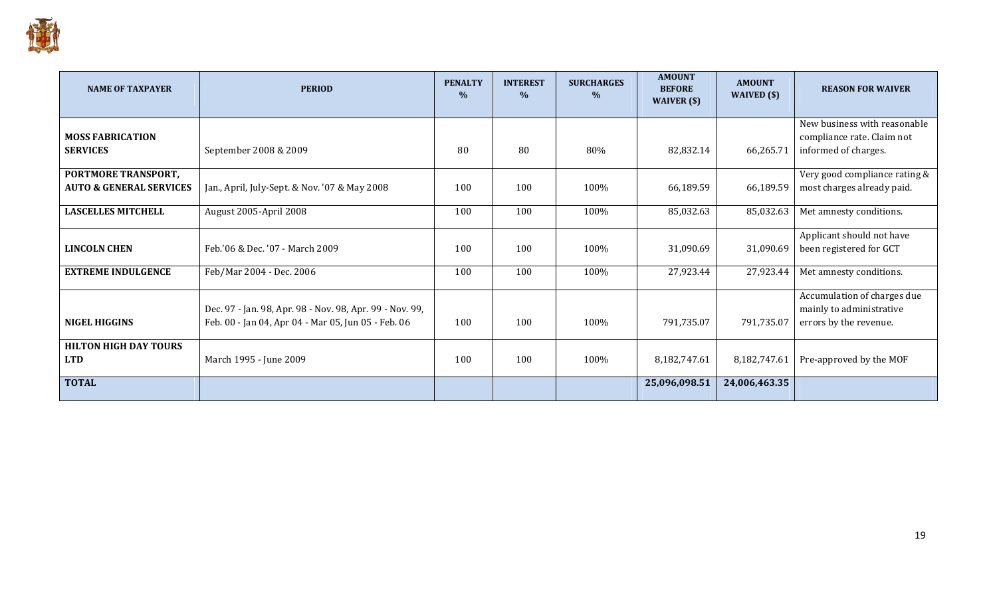

| <b>NAME OF TAXPAYER</b>                                   | <b>PERIOD</b>                                                                                                   | <b>PENALTY</b><br>$\frac{0}{0}$ | <b>INTEREST</b><br>$\%$ | <b>SURCHARGES</b><br>$\%$ | <b>AMOUNT</b><br><b>BEFORE</b><br>WAIVER $($ math) | <b>AMOUNT</b><br>WAIVED $(\$)$ | <b>REASON FOR WAIVER</b>                                                           |
|-----------------------------------------------------------|-----------------------------------------------------------------------------------------------------------------|---------------------------------|-------------------------|---------------------------|----------------------------------------------------|--------------------------------|------------------------------------------------------------------------------------|
| <b>MOSS FABRICATION</b><br><b>SERVICES</b>                | September 2008 & 2009                                                                                           | 80                              | 80                      | 80%                       | 82,832.14                                          | 66,265.71                      | New business with reasonable<br>compliance rate. Claim not<br>informed of charges. |
| PORTMORE TRANSPORT,<br><b>AUTO &amp; GENERAL SERVICES</b> | Jan., April, July-Sept. & Nov. '07 & May 2008                                                                   | 100                             | 100                     | 100%                      | 66,189.59                                          | 66,189.59                      | Very good compliance rating &<br>most charges already paid.                        |
| <b>LASCELLES MITCHELL</b>                                 | August 2005-April 2008                                                                                          | 100                             | 100                     | 100%                      | 85,032.63                                          | 85,032.63                      | Met amnesty conditions.                                                            |
| LINCOLN CHEN                                              | Feb.'06 & Dec. '07 - March 2009                                                                                 | 100                             | 100                     | 100%                      | 31,090.69                                          | 31,090.69                      | Applicant should not have<br>been registered for GCT                               |
| <b>EXTREME INDULGENCE</b>                                 | Feb/Mar 2004 - Dec. 2006                                                                                        | 100                             | 100                     | 100%                      | 27,923.44                                          | 27,923.44                      | Met amnesty conditions.                                                            |
| <b>NIGEL HIGGINS</b>                                      | Dec. 97 - Jan. 98, Apr. 98 - Nov. 98, Apr. 99 - Nov. 99,<br>Feb. 00 - Jan 04, Apr 04 - Mar 05, Jun 05 - Feb. 06 | 100                             | 100                     | 100%                      | 791,735.07                                         | 791,735.07                     | Accumulation of charges due<br>mainly to administrative<br>errors by the revenue.  |
| <b>HILTON HIGH DAY TOURS</b><br><b>LTD</b>                | March 1995 - June 2009                                                                                          | 100                             | 100                     | 100%                      | 8,182,747.61                                       | 8,182,747.61                   | Pre-approved by the MOF                                                            |
| <b>TOTAL</b>                                              |                                                                                                                 |                                 |                         |                           | 25,096,098.51                                      | 24,006,463.35                  |                                                                                    |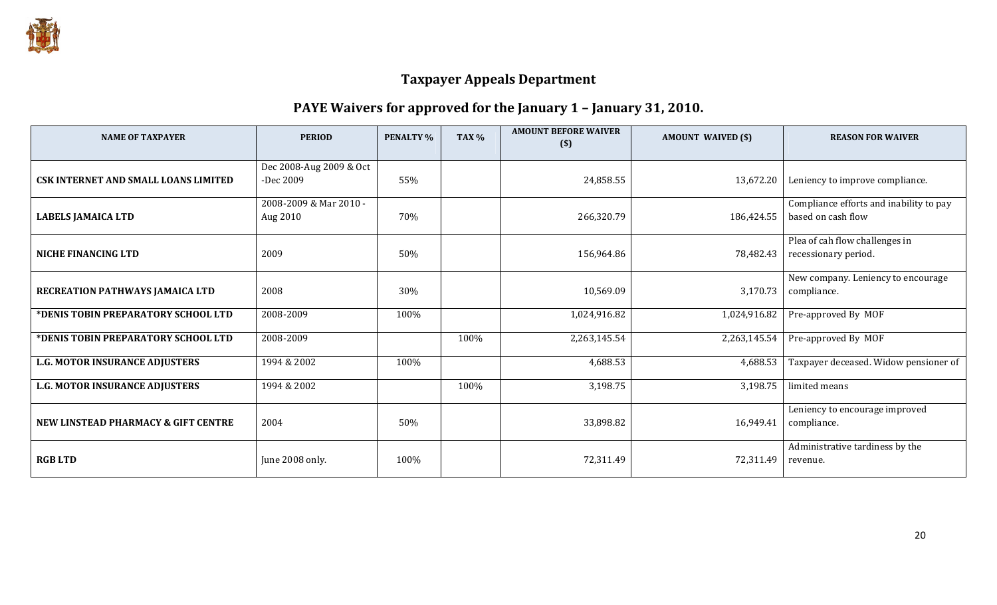

### PAYE Waivers for approved for the January 1 – January 31, 2010.

| <b>NAME OF TAXPAYER</b>                     | <b>PERIOD</b>           | <b>PENALTY %</b> | <b>TAX %</b> | <b>AMOUNT BEFORE WAIVER</b><br>$($)$ | <b>AMOUNT WAIVED (\$)</b> | <b>REASON FOR WAIVER</b>                    |
|---------------------------------------------|-------------------------|------------------|--------------|--------------------------------------|---------------------------|---------------------------------------------|
|                                             | Dec 2008-Aug 2009 & Oct |                  |              |                                      |                           |                                             |
| <b>CSK INTERNET AND SMALL LOANS LIMITED</b> | -Dec 2009               | 55%              |              | 24,858.55                            | 13,672.20                 | Leniency to improve compliance.             |
|                                             | 2008-2009 & Mar 2010 -  |                  |              |                                      |                           | Compliance efforts and inability to pay     |
| <b>LABELS JAMAICA LTD</b>                   | Aug 2010                | 70%              |              | 266,320.79                           | 186,424.55                | based on cash flow                          |
|                                             |                         |                  |              |                                      |                           | Plea of cah flow challenges in              |
| <b>NICHE FINANCING LTD</b>                  | 2009                    | 50%              |              | 156,964.86                           | 78,482.43                 | recessionary period.                        |
|                                             | 2008                    |                  |              |                                      |                           | New company. Leniency to encourage          |
| RECREATION PATHWAYS JAMAICA LTD             |                         | 30%              |              | 10,569.09                            | 3,170.73                  | compliance.                                 |
| *DENIS TOBIN PREPARATORY SCHOOL LTD         | 2008-2009               | 100%             |              | 1,024,916.82                         | 1,024,916.82              | Pre-approved By MOF                         |
| *DENIS TOBIN PREPARATORY SCHOOL LTD         | 2008-2009               |                  | 100%         | 2,263,145.54                         | 2,263,145.54              | Pre-approved By MOF                         |
| <b>L.G. MOTOR INSURANCE ADJUSTERS</b>       | 1994 & 2002             | 100%             |              | 4,688.53                             | 4,688.53                  | Taxpayer deceased. Widow pensioner of       |
| L.G. MOTOR INSURANCE ADJUSTERS              | 1994 & 2002             |                  | 100%         | 3,198.75                             | 3,198.75                  | limited means                               |
|                                             |                         |                  |              |                                      |                           | Leniency to encourage improved              |
| NEW LINSTEAD PHARMACY & GIFT CENTRE         | 2004                    | 50%              |              | 33,898.82                            | 16,949.41                 | compliance.                                 |
| <b>RGBLTD</b>                               | June 2008 only.         | 100%             |              | 72,311.49                            | 72,311.49                 | Administrative tardiness by the<br>revenue. |
|                                             |                         |                  |              |                                      |                           |                                             |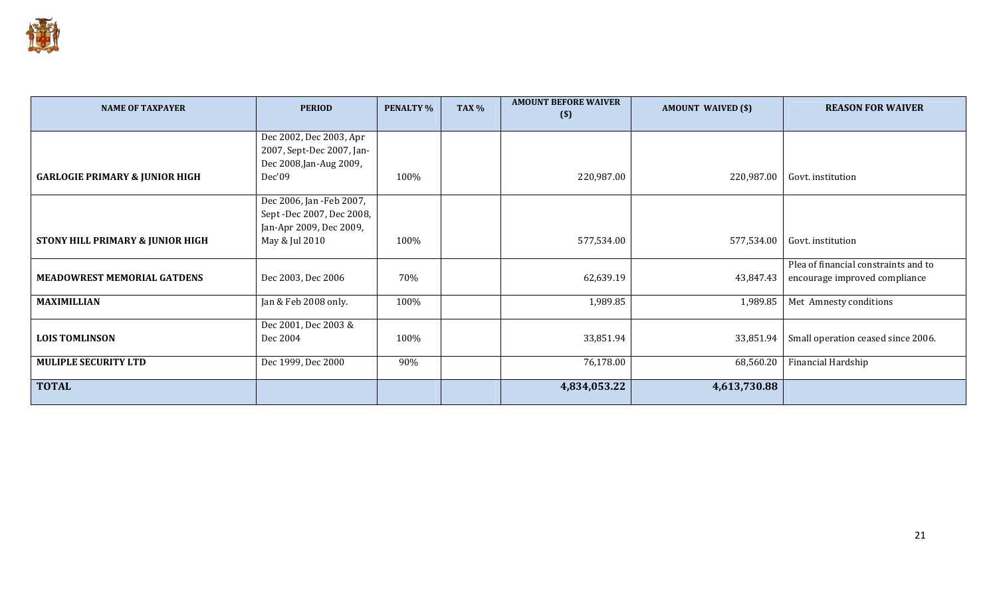

| <b>NAME OF TAXPAYER</b>                     | <b>PERIOD</b>             | <b>PENALTY %</b> | TAX % | <b>AMOUNT BEFORE WAIVER</b><br>$($ \$ | <b>AMOUNT WAIVED (\$)</b> | <b>REASON FOR WAIVER</b>             |
|---------------------------------------------|---------------------------|------------------|-------|---------------------------------------|---------------------------|--------------------------------------|
|                                             | Dec 2002, Dec 2003, Apr   |                  |       |                                       |                           |                                      |
|                                             | 2007, Sept-Dec 2007, Jan- |                  |       |                                       |                           |                                      |
|                                             | Dec 2008, Jan-Aug 2009,   |                  |       |                                       |                           |                                      |
| <b>GARLOGIE PRIMARY &amp; JUNIOR HIGH</b>   | Dec'09                    | 100%             |       | 220,987.00                            | 220,987.00                | Govt. institution                    |
|                                             | Dec 2006, Jan -Feb 2007,  |                  |       |                                       |                           |                                      |
|                                             | Sept -Dec 2007, Dec 2008, |                  |       |                                       |                           |                                      |
|                                             | Jan-Apr 2009, Dec 2009,   |                  |       |                                       |                           |                                      |
| <b>STONY HILL PRIMARY &amp; JUNIOR HIGH</b> | May & Jul 2010            | 100%             |       | 577,534.00                            | 577,534.00                | Govt. institution                    |
|                                             |                           |                  |       |                                       |                           | Plea of financial constraints and to |
| <b>MEADOWREST MEMORIAL GATDENS</b>          | Dec 2003, Dec 2006        | 70%              |       | 62,639.19                             | 43,847.43                 | encourage improved compliance        |
| <b>MAXIMILLIAN</b>                          | Jan & Feb 2008 only.      | 100%             |       | 1,989.85                              | 1,989.85                  | Met Amnesty conditions               |
|                                             | Dec 2001, Dec 2003 &      |                  |       |                                       |                           |                                      |
| <b>LOIS TOMLINSON</b>                       | Dec 2004                  | 100%             |       | 33,851.94                             | 33,851.94                 | Small operation ceased since 2006.   |
| <b>MULIPLE SECURITY LTD</b>                 | Dec 1999, Dec 2000        | 90%              |       | 76,178.00                             | 68,560.20                 | Financial Hardship                   |
| <b>TOTAL</b>                                |                           |                  |       | 4,834,053.22                          | 4,613,730.88              |                                      |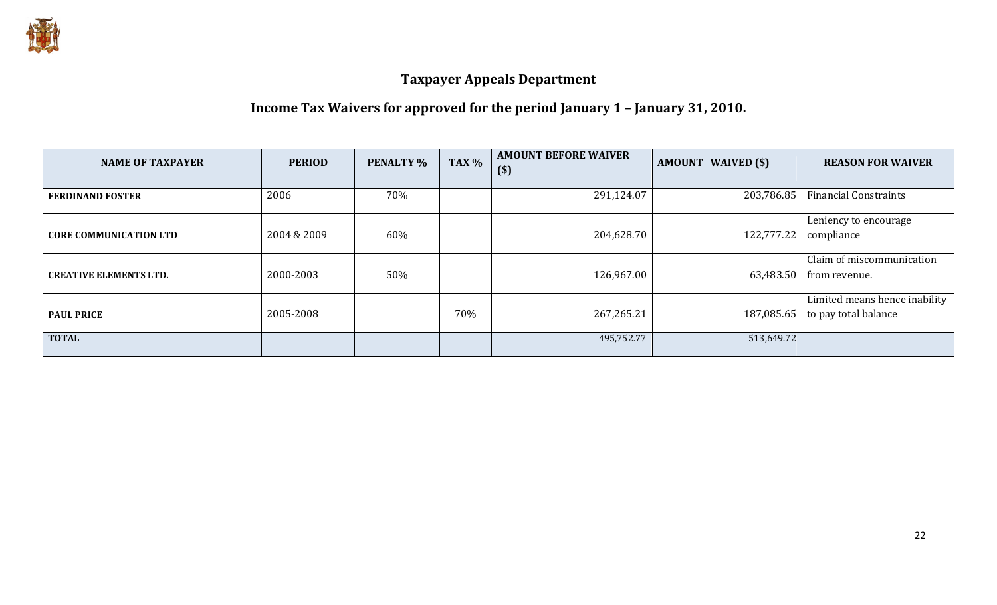

## Income Tax Waivers for approved for the period January 1 – January 31, 2010.

| <b>NAME OF TAXPAYER</b>       | <b>PERIOD</b> | <b>PENALTY %</b> | TAX % | <b>AMOUNT BEFORE WAIVER</b><br>$($)$ | <b>AMOUNT WAIVED (\$)</b> | <b>REASON FOR WAIVER</b>                              |
|-------------------------------|---------------|------------------|-------|--------------------------------------|---------------------------|-------------------------------------------------------|
| <b>FERDINAND FOSTER</b>       | 2006          | 70%              |       | 291,124.07                           | 203,786.85                | <b>Financial Constraints</b>                          |
| <b>CORE COMMUNICATION LTD</b> | 2004 & 2009   | 60%              |       | 204,628.70                           | 122,777.22                | Leniency to encourage<br>compliance                   |
| <b>CREATIVE ELEMENTS LTD.</b> | 2000-2003     | 50%              |       | 126,967.00                           | 63,483.50                 | Claim of miscommunication<br>from revenue.            |
| <b>PAUL PRICE</b>             | 2005-2008     |                  | 70%   | 267,265.21                           | 187,085.65                | Limited means hence inability<br>to pay total balance |
| <b>TOTAL</b>                  |               |                  |       | 495,752.77                           | 513,649.72                |                                                       |